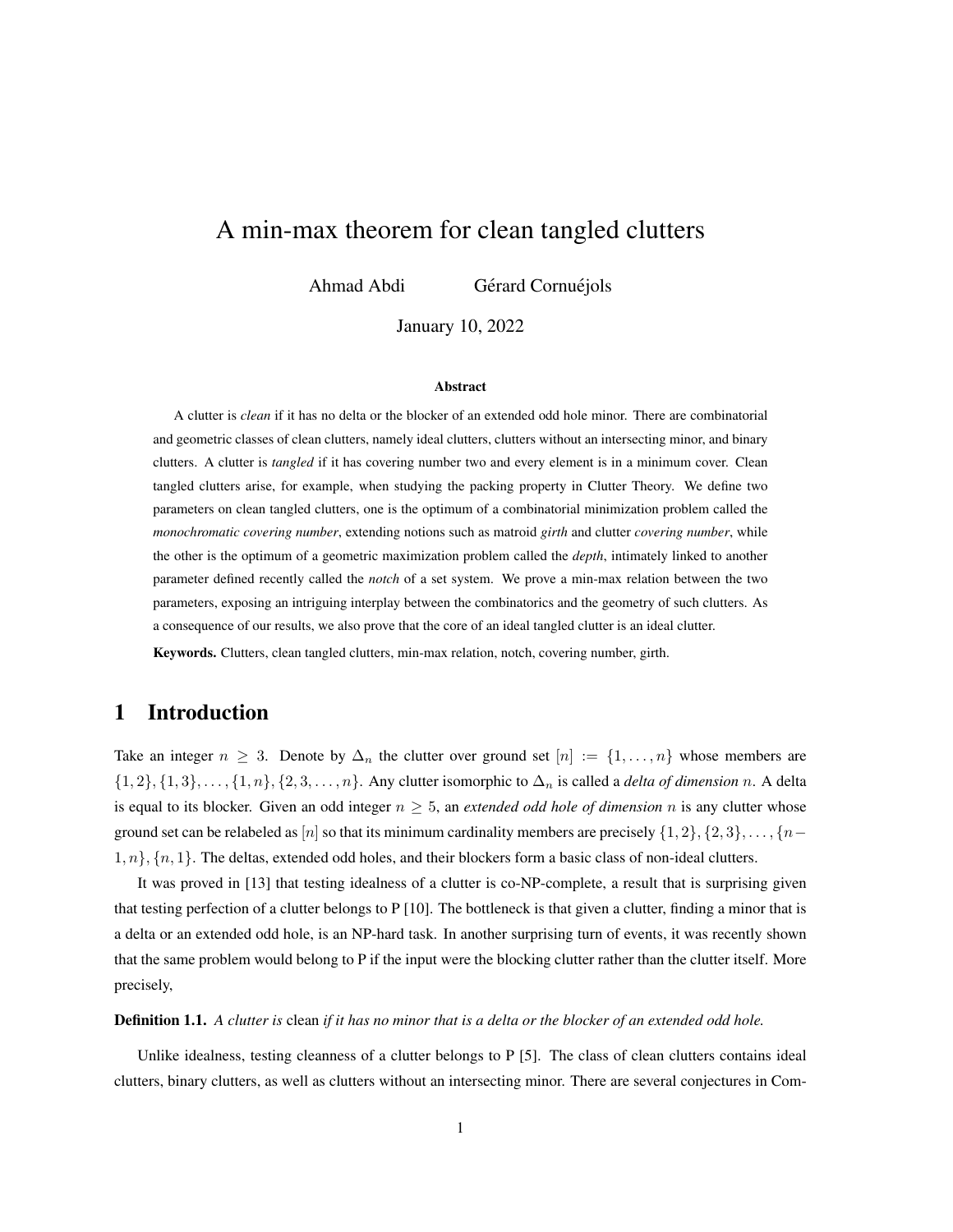# A min-max theorem for clean tangled clutters

Ahmad Abdi Gérard Cornuéjols

January 10, 2022

### Abstract

A clutter is *clean* if it has no delta or the blocker of an extended odd hole minor. There are combinatorial and geometric classes of clean clutters, namely ideal clutters, clutters without an intersecting minor, and binary clutters. A clutter is *tangled* if it has covering number two and every element is in a minimum cover. Clean tangled clutters arise, for example, when studying the packing property in Clutter Theory. We define two parameters on clean tangled clutters, one is the optimum of a combinatorial minimization problem called the *monochromatic covering number*, extending notions such as matroid *girth* and clutter *covering number*, while the other is the optimum of a geometric maximization problem called the *depth*, intimately linked to another parameter defined recently called the *notch* of a set system. We prove a min-max relation between the two parameters, exposing an intriguing interplay between the combinatorics and the geometry of such clutters. As a consequence of our results, we also prove that the core of an ideal tangled clutter is an ideal clutter.

Keywords. Clutters, clean tangled clutters, min-max relation, notch, covering number, girth.

## 1 Introduction

Take an integer  $n \geq 3$ . Denote by  $\Delta_n$  the clutter over ground set  $[n] := \{1, \ldots, n\}$  whose members are  $\{1,2\}, \{1,3\}, \ldots, \{1,n\}, \{2,3,\ldots,n\}.$  Any clutter isomorphic to  $\Delta_n$  is called a *delta of dimension* n. A delta is equal to its blocker. Given an odd integer  $n \geq 5$ , an *extended odd hole of dimension* n is any clutter whose ground set can be relabeled as [n] so that its minimum cardinality members are precisely  $\{1, 2\}, \{2, 3\}, \ldots, \{n-1\}$  $1, n\}$ ,  $\{n, 1\}$ . The deltas, extended odd holes, and their blockers form a basic class of non-ideal clutters.

It was proved in [\[13\]](#page-14-0) that testing idealness of a clutter is co-NP-complete, a result that is surprising given that testing perfection of a clutter belongs to P [\[10\]](#page-14-1). The bottleneck is that given a clutter, finding a minor that is a delta or an extended odd hole, is an NP-hard task. In another surprising turn of events, it was recently shown that the same problem would belong to P if the input were the blocking clutter rather than the clutter itself. More precisely,

#### Definition 1.1. *A clutter is* clean *if it has no minor that is a delta or the blocker of an extended odd hole.*

Unlike idealness, testing cleanness of a clutter belongs to P [\[5\]](#page-14-2). The class of clean clutters contains ideal clutters, binary clutters, as well as clutters without an intersecting minor. There are several conjectures in Com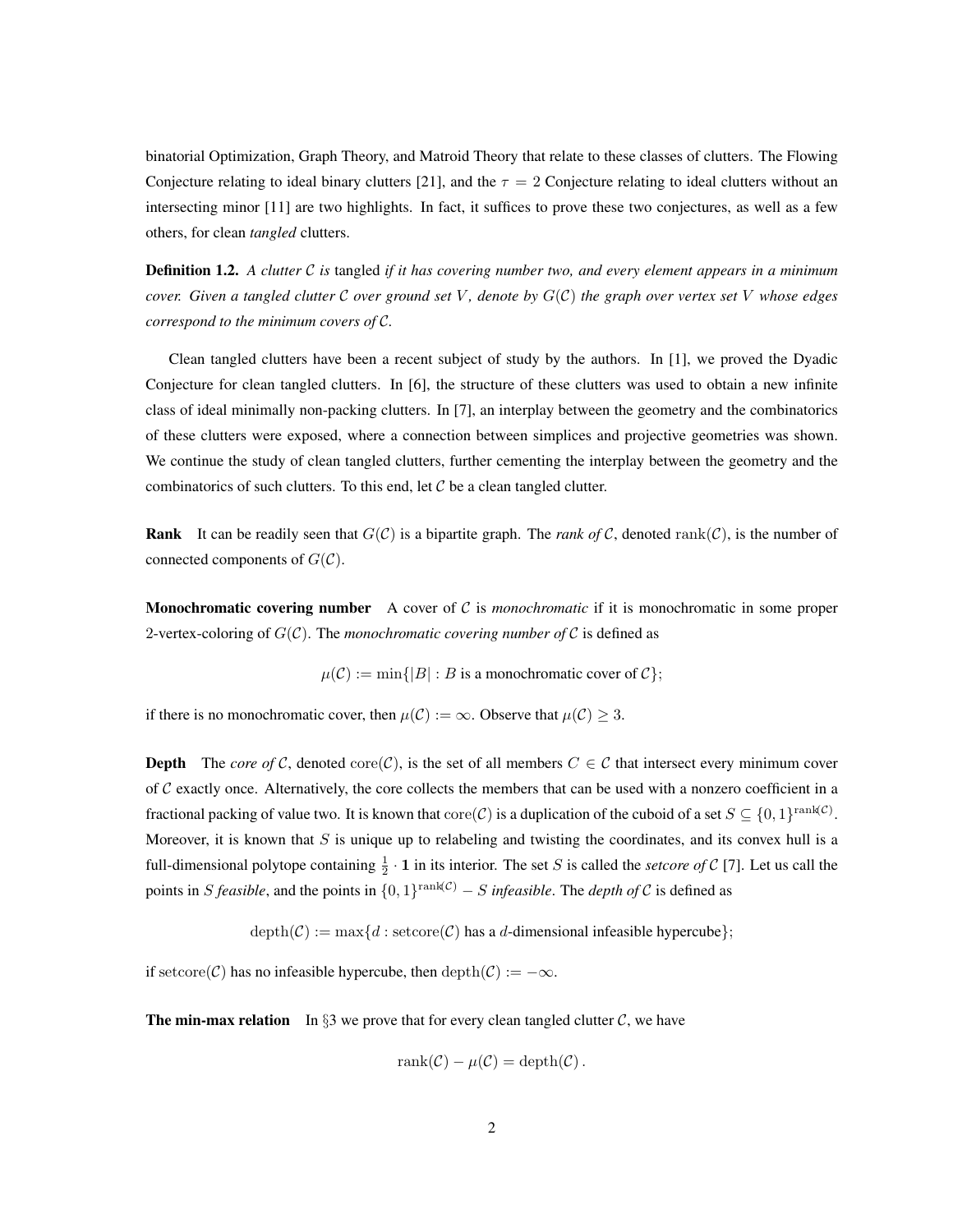binatorial Optimization, Graph Theory, and Matroid Theory that relate to these classes of clutters. The Flowing Conjecture relating to ideal binary clutters [\[21\]](#page-15-0), and the  $\tau = 2$  Conjecture relating to ideal clutters without an intersecting minor [\[11\]](#page-14-3) are two highlights. In fact, it suffices to prove these two conjectures, as well as a few others, for clean *tangled* clutters.

Definition 1.2. *A clutter* C *is* tangled *if it has covering number two, and every element appears in a minimum cover. Given a tangled clutter* C *over ground set* V *, denote by* G(C) *the graph over vertex set* V *whose edges correspond to the minimum covers of* C*.*

Clean tangled clutters have been a recent subject of study by the authors. In [\[1\]](#page-14-4), we proved the Dyadic Conjecture for clean tangled clutters. In [\[6\]](#page-14-5), the structure of these clutters was used to obtain a new infinite class of ideal minimally non-packing clutters. In [\[7\]](#page-14-6), an interplay between the geometry and the combinatorics of these clutters were exposed, where a connection between simplices and projective geometries was shown. We continue the study of clean tangled clutters, further cementing the interplay between the geometry and the combinatorics of such clutters. To this end, let  $C$  be a clean tangled clutter.

**Rank** It can be readily seen that  $G(C)$  is a bipartite graph. The *rank of* C, denoted rank(C), is the number of connected components of  $G(\mathcal{C})$ .

Monochromatic covering number A cover of C is *monochromatic* if it is monochromatic in some proper 2-vertex-coloring of  $G(\mathcal{C})$ . The *monochromatic covering number of*  $\mathcal{C}$  is defined as

 $\mu(\mathcal{C}) := \min\{|B| : B \text{ is a monochromatic cover of } \mathcal{C}\};$ 

if there is no monochromatic cover, then  $\mu(C) := \infty$ . Observe that  $\mu(C) \geq 3$ .

**Depth** The *core of* C, denoted core(C), is the set of all members  $C \in \mathcal{C}$  that intersect every minimum cover of  $C$  exactly once. Alternatively, the core collects the members that can be used with a nonzero coefficient in a fractional packing of value two. It is known that  $\mathrm{core}(\mathcal{C})$  is a duplication of the cuboid of a set  $S \subseteq \{0,1\}^{\text{rank}(\mathcal{C})}$ . Moreover, it is known that  $S$  is unique up to relabeling and twisting the coordinates, and its convex hull is a full-dimensional polytope containing  $\frac{1}{2} \cdot \mathbf{1}$  in its interior. The set S is called the *setcore of* C [\[7\]](#page-14-6). Let us call the points in S *feasible*, and the points in  $\{0,1\}^{\text{rank}(\mathcal{C})} - S$  *infeasible*. The *depth of* C is defined as

 $depth(\mathcal{C}) := max\{d : setcore(\mathcal{C}) \text{ has a } d\text{-dimensional infeasible hypercube}\};$ 

if setcore(C) has no infeasible hypercube, then depth(C) :=  $-\infty$ .

**The min-max relation** In §[3](#page-4-0) we prove that for every clean tangled clutter  $C$ , we have

$$
rank(\mathcal{C}) - \mu(\mathcal{C}) = depth(\mathcal{C}).
$$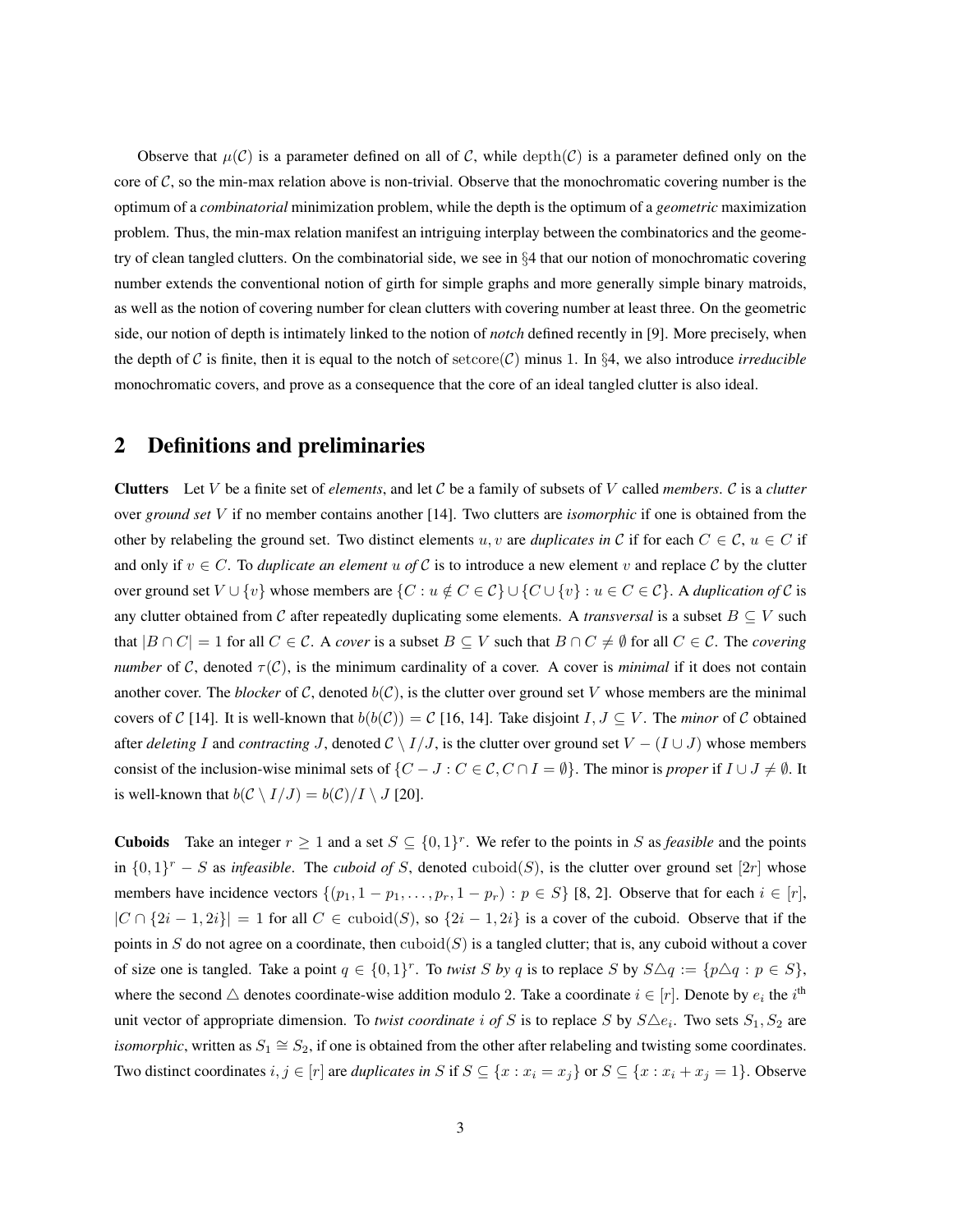Observe that  $\mu(C)$  is a parameter defined on all of C, while depth(C) is a parameter defined only on the core of  $C$ , so the min-max relation above is non-trivial. Observe that the monochromatic covering number is the optimum of a *combinatorial* minimization problem, while the depth is the optimum of a *geometric* maximization problem. Thus, the min-max relation manifest an intriguing interplay between the combinatorics and the geometry of clean tangled clutters. On the combinatorial side, we see in §[4](#page-8-0) that our notion of monochromatic covering number extends the conventional notion of girth for simple graphs and more generally simple binary matroids, as well as the notion of covering number for clean clutters with covering number at least three. On the geometric side, our notion of depth is intimately linked to the notion of *notch* defined recently in [\[9\]](#page-14-7). More precisely, when the depth of C is finite, then it is equal to the notch of setcore(C) minus 1. In §[4,](#page-8-0) we also introduce *irreducible* monochromatic covers, and prove as a consequence that the core of an ideal tangled clutter is also ideal.

## 2 Definitions and preliminaries

Clutters Let V be a finite set of *elements*, and let C be a family of subsets of V called *members*. C is a *clutter* over *ground set* V if no member contains another [\[14\]](#page-14-8). Two clutters are *isomorphic* if one is obtained from the other by relabeling the ground set. Two distinct elements u, v are *duplicates in* C if for each  $C \in \mathcal{C}$ ,  $u \in C$  if and only if  $v \in C$ . To *duplicate an element* u of C is to introduce a new element v and replace C by the clutter over ground set  $V \cup \{v\}$  whose members are  $\{C : u \notin C \in \mathcal{C}\} \cup \{C \cup \{v\} : u \in C \in \mathcal{C}\}$ . A *duplication of* C is any clutter obtained from C after repeatedly duplicating some elements. A *transversal* is a subset  $B \subseteq V$  such that  $|B \cap C| = 1$  for all  $C \in C$ . A *cover* is a subset  $B \subseteq V$  such that  $B \cap C \neq \emptyset$  for all  $C \in C$ . The *covering number* of C, denoted  $\tau(C)$ , is the minimum cardinality of a cover. A cover is *minimal* if it does not contain another cover. The *blocker* of C, denoted  $b(C)$ , is the clutter over ground set V whose members are the minimal covers of C [\[14\]](#page-14-8). It is well-known that  $b(b(\mathcal{C})) = C$  [\[16,](#page-15-1) [14\]](#page-14-8). Take disjoint  $I, J \subseteq V$ . The *minor* of C obtained after *deleting* I and *contracting* J, denoted  $C \setminus I/J$ , is the clutter over ground set  $V - (I \cup J)$  whose members consist of the inclusion-wise minimal sets of  $\{C - J : C \in \mathcal{C}, C \cap I = \emptyset\}$ . The minor is *proper* if  $I \cup J \neq \emptyset$ . It is well-known that  $b(C \setminus I/J) = b(C)/I \setminus J$  [\[20\]](#page-15-2).

**Cuboids** Take an integer  $r \ge 1$  and a set  $S \subseteq \{0,1\}^r$ . We refer to the points in S as *feasible* and the points in  $\{0,1\}^r$  – S as *infeasible*. The *cuboid of* S, denoted cuboid(S), is the clutter over ground set [2r] whose members have incidence vectors  $\{(p_1, 1 - p_1, \ldots, p_r, 1 - p_r) : p \in S\}$  [\[8,](#page-14-9) [2\]](#page-14-10). Observe that for each  $i \in [r]$ ,  $|C \cap \{2i - 1, 2i\}| = 1$  for all  $C \in \text{cuboid}(S)$ , so  $\{2i - 1, 2i\}$  is a cover of the cuboid. Observe that if the points in S do not agree on a coordinate, then  $\text{cuboid}(S)$  is a tangled clutter; that is, any cuboid without a cover of size one is tangled. Take a point  $q \in \{0,1\}^r$ . To *twist* S by q is to replace S by  $S \triangle q := \{p \triangle q : p \in S\}$ , where the second  $\triangle$  denotes coordinate-wise addition modulo 2. Take a coordinate  $i \in [r]$ . Denote by  $e_i$  the  $i^{\text{th}}$ unit vector of appropriate dimension. To *twist coordinate* i of S is to replace S by  $S \triangle e_i$ . Two sets  $S_1, S_2$  are *isomorphic*, written as  $S_1 \cong S_2$ , if one is obtained from the other after relabeling and twisting some coordinates. Two distinct coordinates  $i, j \in [r]$  are *duplicates in* S if  $S \subseteq \{x : x_i = x_j\}$  or  $S \subseteq \{x : x_i + x_j = 1\}$ . Observe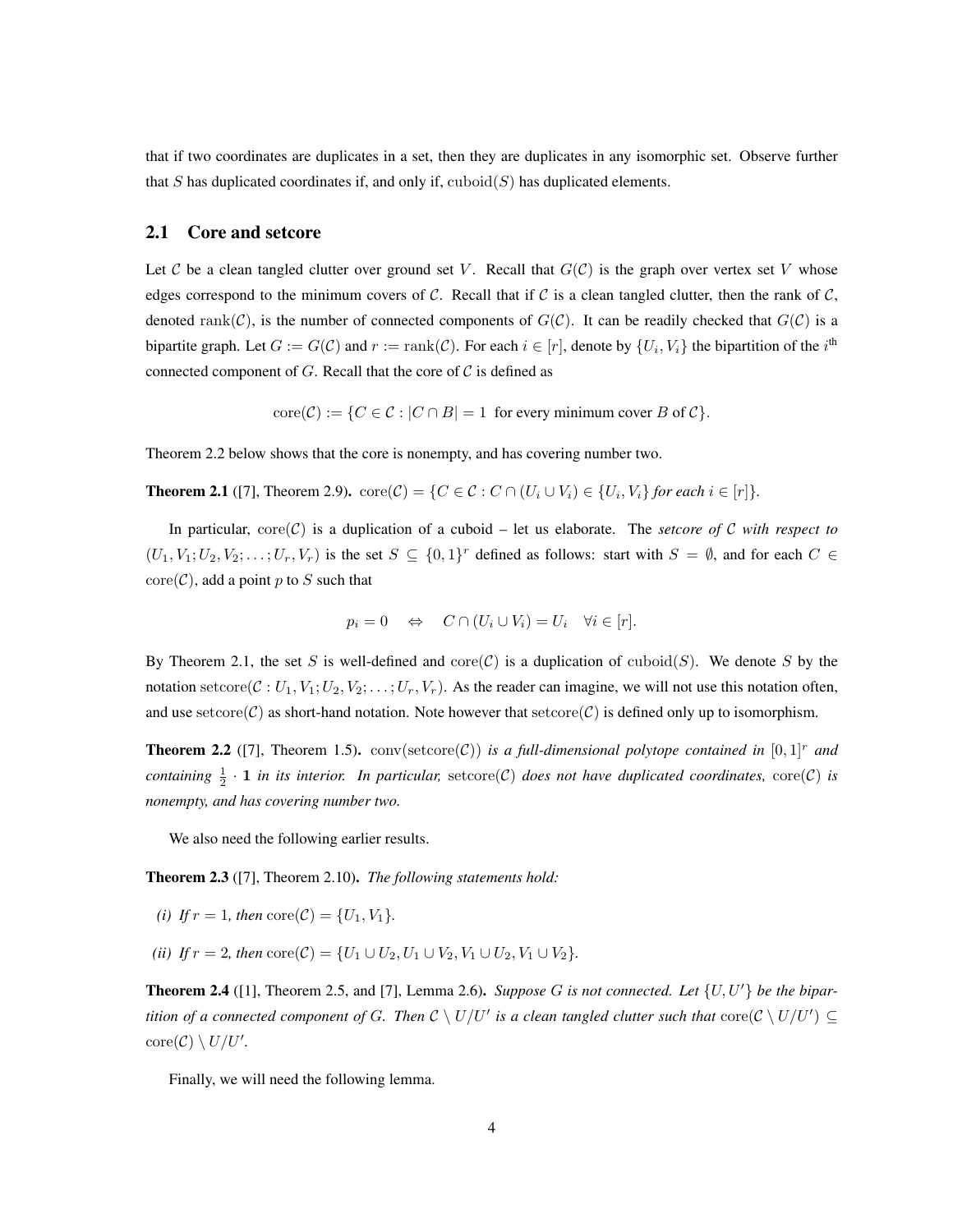that if two coordinates are duplicates in a set, then they are duplicates in any isomorphic set. Observe further that S has duplicated coordinates if, and only if,  $\text{cuboid}(S)$  has duplicated elements.

### 2.1 Core and setcore

Let C be a clean tangled clutter over ground set V. Recall that  $G(\mathcal{C})$  is the graph over vertex set V whose edges correspond to the minimum covers of C. Recall that if C is a clean tangled clutter, then the rank of C, denoted rank(C), is the number of connected components of  $G(\mathcal{C})$ . It can be readily checked that  $G(\mathcal{C})$  is a bipartite graph. Let  $G := G(\mathcal{C})$  and  $r := \text{rank}(\mathcal{C})$ . For each  $i \in [r]$ , denote by  $\{U_i, V_i\}$  the bipartition of the  $i^{\text{th}}$ connected component of G. Recall that the core of  $\mathcal C$  is defined as

 $\text{core}(\mathcal{C}) := \{C \in \mathcal{C} : |C \cap B| = 1 \text{ for every minimum cover } B \text{ of } C\}.$ 

<span id="page-3-1"></span>Theorem [2.2](#page-3-0) below shows that the core is nonempty, and has covering number two.

**Theorem 2.1** ([\[7\]](#page-14-6), Theorem 2.9).  $\text{core}(\mathcal{C}) = \{C \in \mathcal{C} : C \cap (U_i \cup V_i) \in \{U_i, V_i\} \}$  for each  $i \in [r]$ }.

In particular,  $\text{core}(\mathcal{C})$  is a duplication of a cuboid – let us elaborate. The *setcore of*  $\mathcal{C}$  *with respect to*  $(U_1, V_1; U_2, V_2; \ldots; U_r, V_r)$  is the set  $S \subseteq \{0,1\}^r$  defined as follows: start with  $S = \emptyset$ , and for each  $C \in$  $\text{core}(\mathcal{C})$ , add a point p to S such that

$$
p_i = 0 \quad \Leftrightarrow \quad C \cap (U_i \cup V_i) = U_i \quad \forall i \in [r].
$$

By Theorem [2.1,](#page-3-1) the set S is well-defined and  $\operatorname{core}(\mathcal{C})$  is a duplication of  $\operatorname{cuboid}(S)$ . We denote S by the notation setcore(C :  $U_1, V_1, U_2, V_2, \ldots, U_r, V_r$ ). As the reader can imagine, we will not use this notation often, and use setcore(C) as short-hand notation. Note however that setcore(C) is defined only up to isomorphism.

<span id="page-3-0"></span>**Theorem 2.2** ([\[7\]](#page-14-6), Theorem 1.5). conv(setcore(C)) is a full-dimensional polytope contained in  $[0,1]^r$  and *containing*  $\frac{1}{2} \cdot 1$  *in its interior. In particular,* setcore(C) *does not have duplicated coordinates,* core(C) *is nonempty, and has covering number two.*

We also need the following earlier results.

<span id="page-3-3"></span>Theorem 2.3 ([\[7\]](#page-14-6), Theorem 2.10). *The following statements hold:*

- *(i) If*  $r = 1$ *, then* core $(C) = \{U_1, V_1\}$ *.*
- *(ii) If*  $r = 2$ *, then* core $(C) = \{U_1 \cup U_2, U_1 \cup V_2, V_1 \cup U_2, V_1 \cup V_2\}.$

<span id="page-3-2"></span>**Theorem 2.4** ([\[1\]](#page-14-4), Theorem 2.5, and [\[7\]](#page-14-6), Lemma 2.6). *Suppose G is not connected. Let*  $\{U, U'\}$  *be the bipartition of a connected component of G. Then*  $\mathcal{C} \setminus U/U'$  *is a clean tangled clutter such that*  $\text{core}(\mathcal{C} \setminus U/U') \subseteq$  $\operatorname{core}(\mathcal{C}) \setminus U/U'.$ 

<span id="page-3-4"></span>Finally, we will need the following lemma.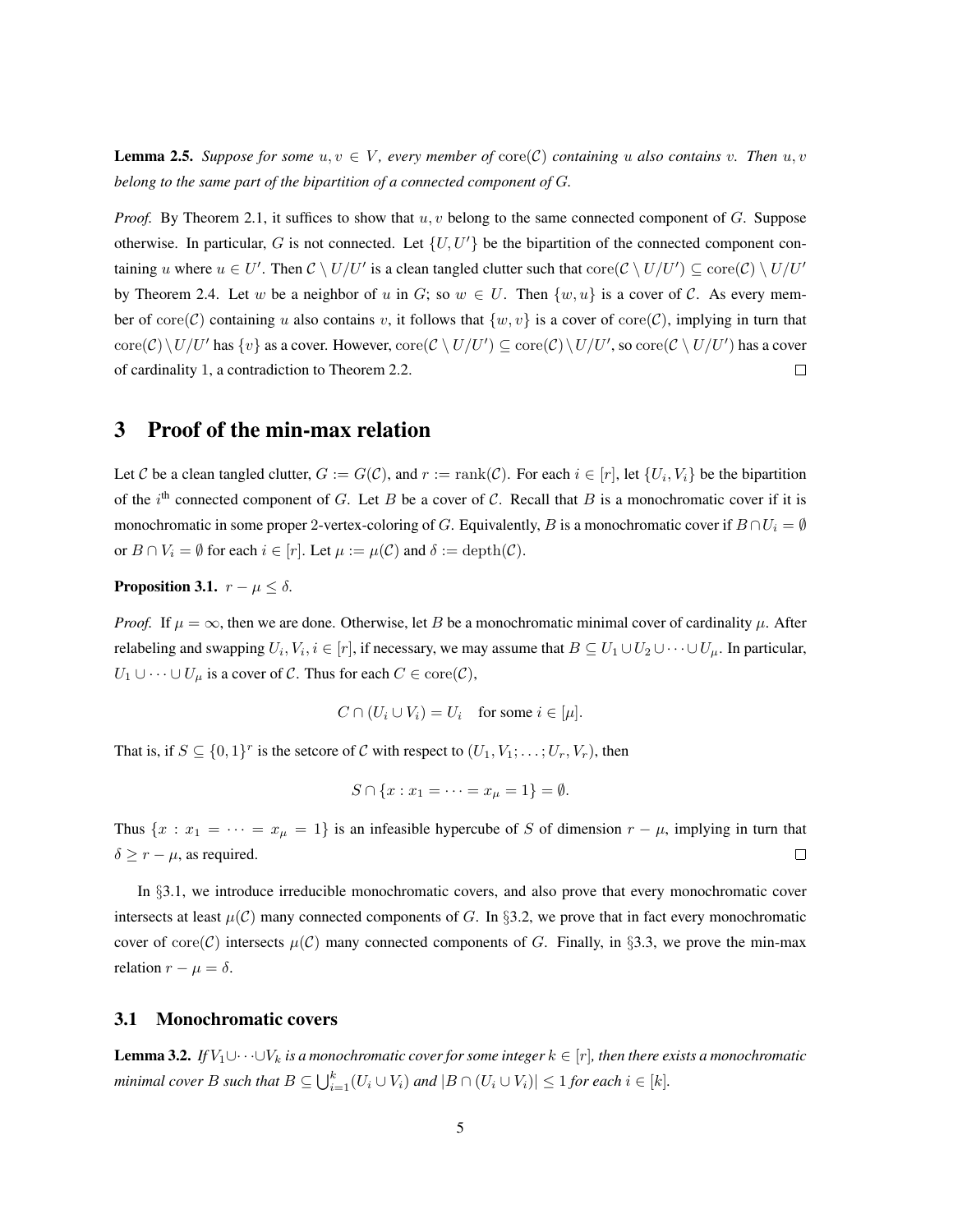**Lemma 2.5.** Suppose for some  $u, v \in V$ , every member of  $\text{core}(\mathcal{C})$  containing u also contains v. Then  $u, v$ *belong to the same part of the bipartition of a connected component of* G*.*

*Proof.* By Theorem [2.1,](#page-3-1) it suffices to show that  $u, v$  belong to the same connected component of  $G$ . Suppose otherwise. In particular, G is not connected. Let  $\{U, U'\}$  be the bipartition of the connected component containing u where  $u \in U'$ . Then  $\mathcal{C} \setminus U/U'$  is a clean tangled clutter such that  $\text{core}(\mathcal{C} \setminus U/U') \subseteq \text{core}(\mathcal{C}) \setminus U/U'$ by Theorem [2.4.](#page-3-2) Let w be a neighbor of u in G; so  $w \in U$ . Then  $\{w, u\}$  is a cover of C. As every member of core $(\mathcal{C})$  containing u also contains v, it follows that  $\{w, v\}$  is a cover of core $(\mathcal{C})$ , implying in turn that  $\mathrm{core}(\mathcal{C})\setminus U/U'$  has  $\{v\}$  as a cover. However,  $\mathrm{core}(\mathcal{C}\setminus U/U')\subseteq \mathrm{core}(\mathcal{C})\setminus U/U'$ , so  $\mathrm{core}(\mathcal{C}\setminus U/U')$  has a cover of cardinality 1, a contradiction to Theorem [2.2.](#page-3-0)  $\Box$ 

## <span id="page-4-0"></span>3 Proof of the min-max relation

Let C be a clean tangled clutter,  $G := G(\mathcal{C})$ , and  $r := \text{rank}(\mathcal{C})$ . For each  $i \in [r]$ , let  $\{U_i, V_i\}$  be the bipartition of the i<sup>th</sup> connected component of G. Let B be a cover of C. Recall that B is a monochromatic cover if it is monochromatic in some proper 2-vertex-coloring of G. Equivalently, B is a monochromatic cover if  $B \cap U_i = \emptyset$ or  $B \cap V_i = \emptyset$  for each  $i \in [r]$ . Let  $\mu := \mu(C)$  and  $\delta := \text{depth}(C)$ .

### <span id="page-4-3"></span>**Proposition 3.1.**  $r - \mu \leq \delta$ .

*Proof.* If  $\mu = \infty$ , then we are done. Otherwise, let B be a monochromatic minimal cover of cardinality  $\mu$ . After relabeling and swapping  $U_i, V_i, i \in [r]$ , if necessary, we may assume that  $B \subseteq U_1 \cup U_2 \cup \cdots \cup U_\mu$ . In particular,  $U_1 \cup \cdots \cup U_\mu$  is a cover of C. Thus for each  $C \in \text{core}(\mathcal{C}),$ 

$$
C \cap (U_i \cup V_i) = U_i \quad \text{for some } i \in [\mu].
$$

That is, if  $S \subseteq \{0,1\}^r$  is the setcore of C with respect to  $(U_1, V_1; \ldots; U_r, V_r)$ , then

$$
S \cap \{x : x_1 = \dots = x_{\mu} = 1\} = \emptyset.
$$

Thus  $\{x : x_1 = \cdots = x_{\mu} = 1\}$  is an infeasible hypercube of S of dimension  $r - \mu$ , implying in turn that  $\Box$  $\delta \geq r - \mu$ , as required.

In §[3.1,](#page-4-1) we introduce irreducible monochromatic covers, and also prove that every monochromatic cover intersects at least  $\mu(C)$  many connected components of G. In §[3.2,](#page-5-0) we prove that in fact every monochromatic cover of core(C) intersects  $\mu(C)$  many connected components of G. Finally, in §[3.3,](#page-7-0) we prove the min-max relation  $r - \mu = \delta$ .

## <span id="page-4-1"></span>3.1 Monochromatic covers

<span id="page-4-2"></span>**Lemma 3.2.** *If*  $V_1 \cup \cdots \cup V_k$  *is a monochromatic cover for some integer*  $k \in [r]$ *, then there exists a monochromatic minimal cover B such that*  $B \subseteq \bigcup_{i=1}^{k} (U_i \cup V_i)$  *and*  $|B \cap (U_i \cup V_i)| \leq 1$  *for each*  $i \in [k]$ *.*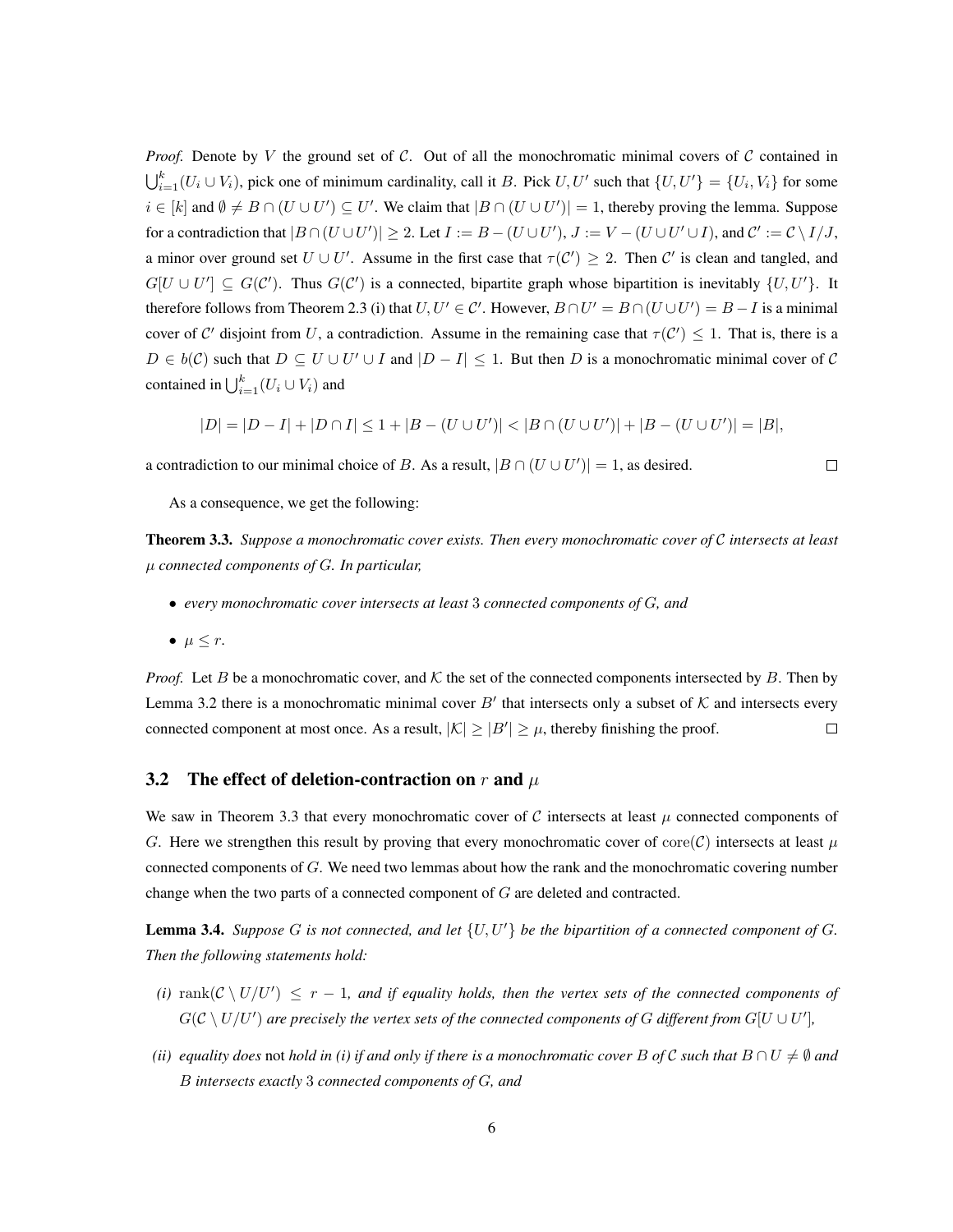*Proof.* Denote by V the ground set of C. Out of all the monochromatic minimal covers of C contained in  $\bigcup_{i=1}^k (U_i \cup V_i)$ , pick one of minimum cardinality, call it B. Pick  $U, U'$  such that  $\{U, U'\} = \{U_i, V_i\}$  for some  $i \in [k]$  and  $\emptyset \neq B \cap (U \cup U') \subseteq U'$ . We claim that  $|B \cap (U \cup U')| = 1$ , thereby proving the lemma. Suppose for a contradiction that  $|B \cap (U \cup U')| \geq 2$ . Let  $I := B - (U \cup U')$ ,  $J := V - (U \cup U' \cup I)$ , and  $\mathcal{C}' := \mathcal{C} \setminus I/J$ , a minor over ground set  $U \cup U'$ . Assume in the first case that  $\tau(C') \geq 2$ . Then C' is clean and tangled, and  $G[U \cup U'] \subseteq G(C')$ . Thus  $G(C')$  is a connected, bipartite graph whose bipartition is inevitably  $\{U, U'\}$ . It therefore follows from Theorem [2.3](#page-3-3) (i) that  $U, U' \in \mathcal{C}'$ . However,  $B \cap U' = B \cap (U \cup U') = B - I$  is a minimal cover of C' disjoint from U, a contradiction. Assume in the remaining case that  $\tau(C') \leq 1$ . That is, there is a  $D \in b(\mathcal{C})$  such that  $D \subseteq U \cup U' \cup I$  and  $|D - I| \leq 1$ . But then D is a monochromatic minimal cover of C contained in  $\bigcup_{i=1}^k (U_i \cup V_i)$  and

$$
|D| = |D - I| + |D \cap I| \le 1 + |B - (U \cup U')| < |B \cap (U \cup U')| + |B - (U \cup U')| = |B|,
$$

a contradiction to our minimal choice of B. As a result,  $|B \cap (U \cup U')| = 1$ , as desired.

 $\Box$ 

As a consequence, we get the following:

<span id="page-5-1"></span>Theorem 3.3. *Suppose a monochromatic cover exists. Then every monochromatic cover of* C *intersects at least* µ *connected components of* G*. In particular,*

- *every monochromatic cover intersects at least* 3 *connected components of* G*, and*
- $\bullet \ \mu \leq r.$

*Proof.* Let B be a monochromatic cover, and  $K$  the set of the connected components intersected by B. Then by Lemma [3.2](#page-4-2) there is a monochromatic minimal cover B' that intersects only a subset of  $K$  and intersects every connected component at most once. As a result,  $|K| \geq |B'| \geq \mu$ , thereby finishing the proof.  $\Box$ 

### <span id="page-5-0"></span>3.2 The effect of deletion-contraction on r and  $\mu$

We saw in Theorem [3.3](#page-5-1) that every monochromatic cover of C intersects at least  $\mu$  connected components of G. Here we strengthen this result by proving that every monochromatic cover of core(C) intersects at least  $\mu$ connected components of G. We need two lemmas about how the rank and the monochromatic covering number change when the two parts of a connected component of  $G$  are deleted and contracted.

<span id="page-5-2"></span>**Lemma 3.4.** *Suppose* G *is not connected, and let*  $\{U, U'\}$  *be the bipartition of a connected component of* G. *Then the following statements hold:*

- (*i*)  $\text{rank}(\mathcal{C} \setminus U/U') \leq r 1$ , and if equality holds, then the vertex sets of the connected components of  $G(\mathcal{C}\setminus U/U')$  are precisely the vertex sets of the connected components of  $G$  different from  $G[U\cup U'],$
- *(ii)* equality does not hold in (i) if and only if there is a monochromatic cover B of C such that  $B \cap U \neq \emptyset$  and B *intersects exactly* 3 *connected components of* G*, and*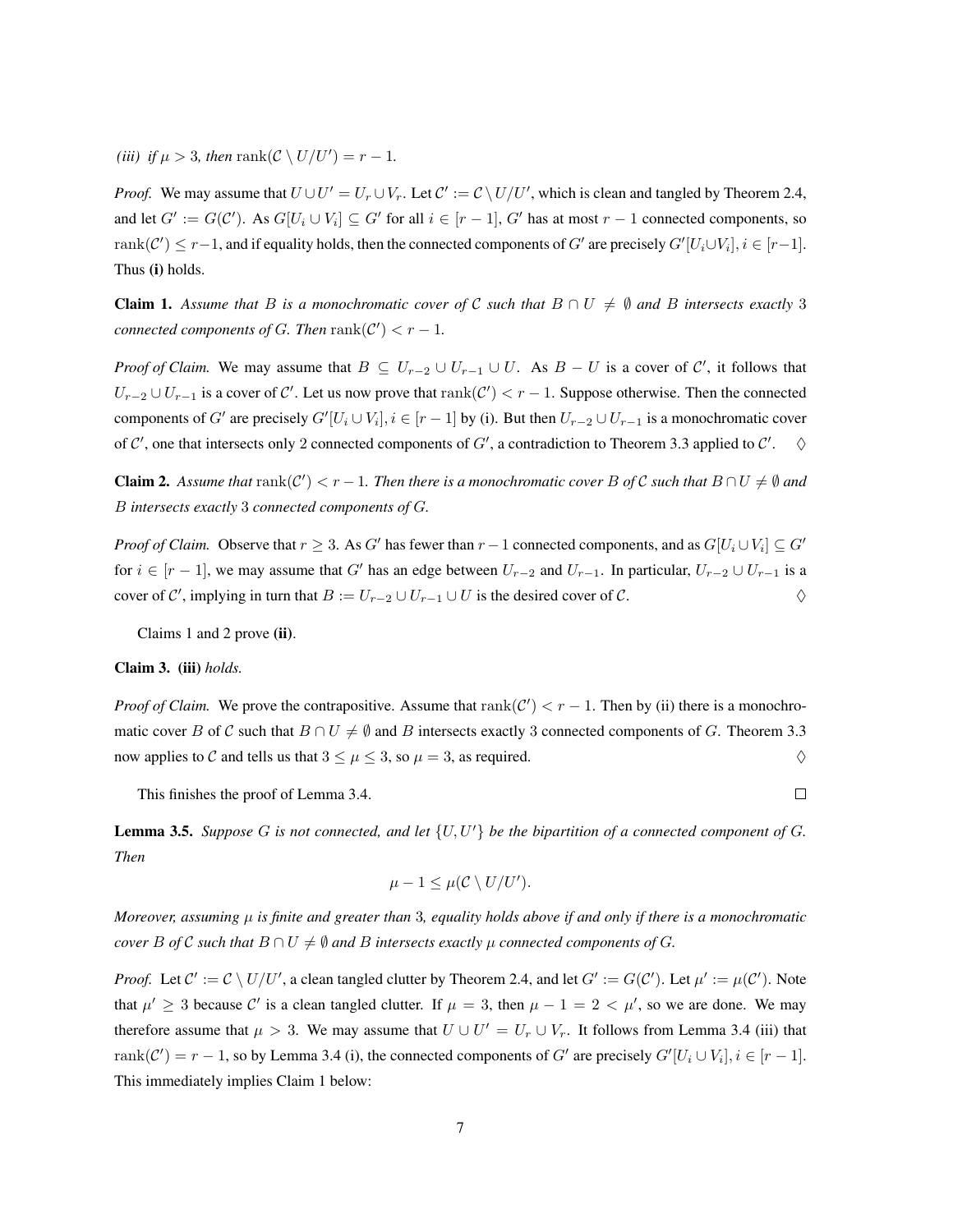(*iii*) *if*  $\mu > 3$ *, then* rank( $\mathcal{C} \setminus U/U'$ ) = r - 1*.* 

*Proof.* We may assume that  $U \cup U' = U_r \cup V_r$ . Let  $\mathcal{C}' := \mathcal{C} \setminus U/U'$ , which is clean and tangled by Theorem [2.4,](#page-3-2) and let  $G' := G(\mathcal{C}')$ . As  $G[U_i \cup V_i] \subseteq G'$  for all  $i \in [r-1]$ ,  $G'$  has at most  $r-1$  connected components, so  $rank(\mathcal{C}') \leq r-1$ , and if equality holds, then the connected components of  $G'$  are precisely  $G'[U_i \cup V_i], i \in [r-1]$ . Thus (i) holds.

**Claim 1.** Assume that B is a monochromatic cover of C such that  $B \cap U \neq \emptyset$  and B intersects exactly 3 *connected components of G. Then*  $rank(\mathcal{C}') < r - 1$ *.* 

*Proof of Claim.* We may assume that  $B \subseteq U_{r-2} \cup U_{r-1} \cup U$ . As  $B - U$  is a cover of  $\mathcal{C}'$ , it follows that  $U_{r-2} \cup U_{r-1}$  is a cover of C'. Let us now prove that  $rank(C') < r-1$ . Suppose otherwise. Then the connected components of G' are precisely  $G'[U_i \cup V_i], i \in [r-1]$  by (i). But then  $U_{r-2} \cup U_{r-1}$  is a monochromatic cover of C', one that intersects only 2 connected components of G', a contradiction to Theorem [3.3](#page-5-1) applied to C'.  $\diamond$ 

**Claim 2.** Assume that  $rank(C') < r - 1$ . Then there is a monochromatic cover B of C such that  $B \cap U \neq \emptyset$  and B *intersects exactly* 3 *connected components of* G*.*

*Proof of Claim.* Observe that  $r \geq 3$ . As G' has fewer than  $r - 1$  connected components, and as  $G[U_i \cup V_i] \subseteq G'$ for  $i \in [r-1]$ , we may assume that G' has an edge between  $U_{r-2}$  and  $U_{r-1}$ . In particular,  $U_{r-2} \cup U_{r-1}$  is a cover of C', implying in turn that  $B := U_{r-2} \cup U_{r-1} \cup U$  is the desired cover of C.

Claims 1 and 2 prove (ii).

#### Claim 3. (iii) *holds.*

*Proof of Claim.* We prove the contrapositive. Assume that  $rank(C') < r - 1$ . Then by (ii) there is a monochromatic cover B of C such that  $B \cap U \neq \emptyset$  and B intersects exactly 3 connected components of G. Theorem [3.3](#page-5-1) now applies to C and tells us that  $3 \leq \mu \leq 3$ , so  $\mu = 3$ , as required.

This finishes the proof of Lemma [3.4.](#page-5-2)

 $\Box$ 

<span id="page-6-0"></span>**Lemma 3.5.** *Suppose* G *is not connected, and let*  $\{U, U'\}$  *be the bipartition of a connected component of* G. *Then*

$$
\mu - 1 \leq \mu(\mathcal{C} \setminus U/U').
$$

*Moreover, assuming* µ *is finite and greater than* 3*, equality holds above if and only if there is a monochromatic cover* B *of* C *such that*  $B \cap U \neq \emptyset$  *and* B *intersects exactly*  $\mu$  *connected components of* G.

*Proof.* Let  $C' := C \setminus U/U'$ , a clean tangled clutter by Theorem [2.4,](#page-3-2) and let  $G' := G(C')$ . Let  $\mu' := \mu(C')$ . Note that  $\mu' \geq 3$  because C' is a clean tangled clutter. If  $\mu = 3$ , then  $\mu - 1 = 2 < \mu'$ , so we are done. We may therefore assume that  $\mu > 3$ . We may assume that  $U \cup U' = U_r \cup V_r$ . It follows from Lemma [3.4](#page-5-2) (iii) that  $rank(\mathcal{C}') = r - 1$ , so by Lemma [3.4](#page-5-2) (i), the connected components of G' are precisely  $G'[U_i \cup V_i], i \in [r - 1]$ . This immediately implies Claim 1 below: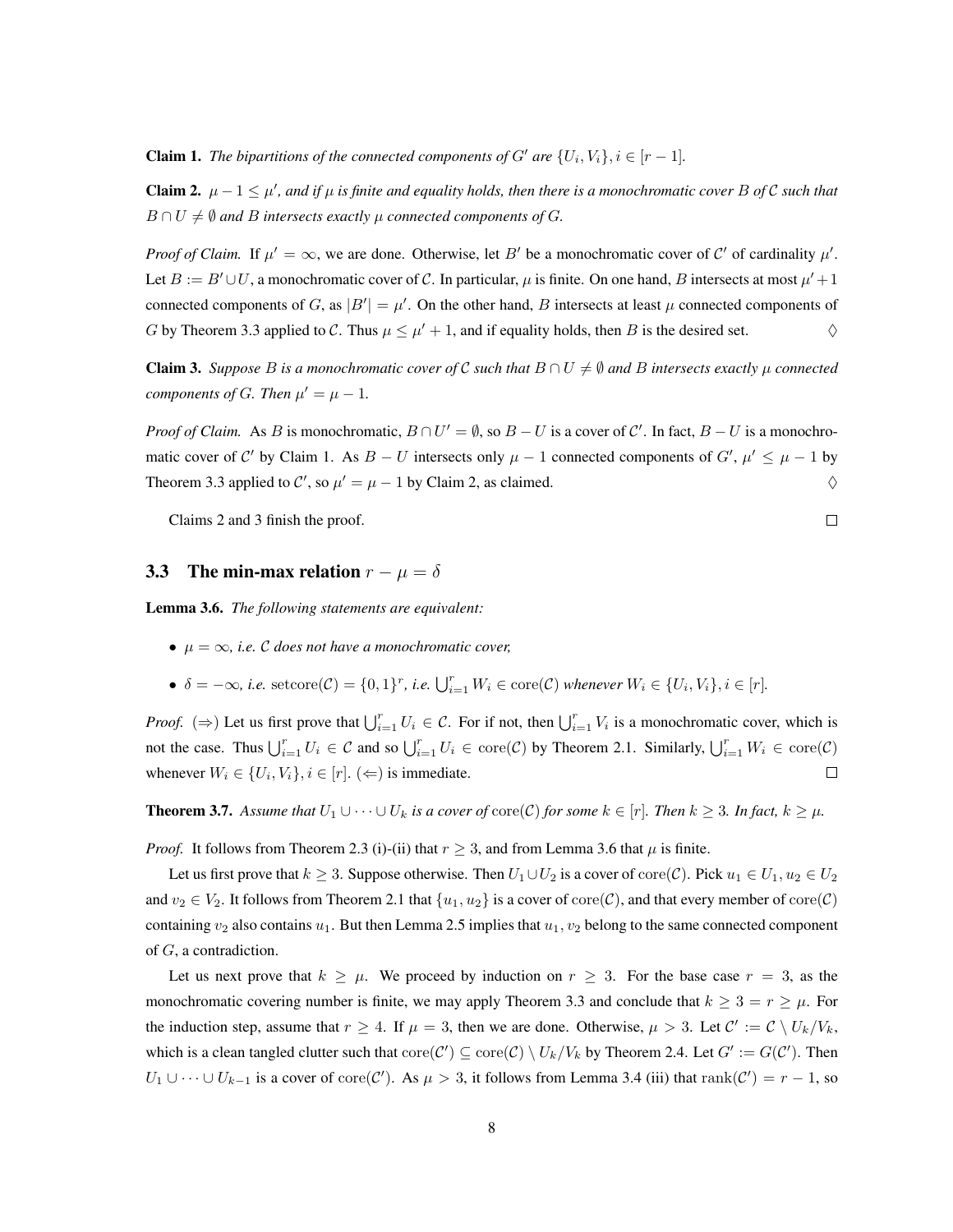**Claim 1.** *The bipartitions of the connected components of G' are*  $\{U_i, V_i\}, i \in [r-1]$ *.* 

Claim 2.  $\mu$  − 1  $\leq \mu'$ , and if  $\mu$  is finite and equality holds, then there is a monochromatic cover B of C such that  $B \cap U \neq \emptyset$  and B intersects exactly  $\mu$  connected components of G.

*Proof of Claim.* If  $\mu' = \infty$ , we are done. Otherwise, let B' be a monochromatic cover of C' of cardinality  $\mu'$ . Let  $B := B' \cup U$ , a monochromatic cover of C. In particular,  $\mu$  is finite. On one hand, B intersects at most  $\mu' + 1$ connected components of G, as  $|B'| = \mu'$ . On the other hand, B intersects at least  $\mu$  connected components of G by Theorem [3.3](#page-5-1) applied to C. Thus  $\mu \leq \mu' + 1$ , and if equality holds, then B is the desired set.  $\diamond$ 

**Claim 3.** Suppose B is a monochromatic cover of C such that  $B \cap U \neq \emptyset$  and B intersects exactly  $\mu$  connected *components of G. Then*  $\mu' = \mu - 1$ *.* 

*Proof of Claim.* As B is monochromatic,  $B \cap U' = \emptyset$ , so  $B - U$  is a cover of C'. In fact,  $B - U$  is a monochromatic cover of C' by Claim 1. As  $B - U$  intersects only  $\mu - 1$  connected components of  $G', \mu' \leq \mu - 1$  by Theorem [3.3](#page-5-1) applied to C', so  $\mu' = \mu - 1$  by Claim 2, as claimed.  $\diamond$ 

Claims 2 and 3 finish the proof.

## <span id="page-7-0"></span>3.3 The min-max relation  $r - \mu = \delta$

<span id="page-7-1"></span>Lemma 3.6. *The following statements are equivalent:*

- $\mu = \infty$ , *i.e.* C does not have a monochromatic cover,
- $\delta = -\infty$ , i.e.  $\text{setcore}(\mathcal{C}) = \{0, 1\}^r$ , i.e.  $\bigcup_{i=1}^r W_i \in \text{core}(\mathcal{C})$  whenever  $W_i \in \{U_i, V_i\}, i \in [r]$ .

*Proof.* ( $\Rightarrow$ ) Let us first prove that  $\bigcup_{i=1}^r U_i \in C$ . For if not, then  $\bigcup_{i=1}^r V_i$  is a monochromatic cover, which is not the case. Thus  $\bigcup_{i=1}^r U_i \in \mathcal{C}$  and so  $\bigcup_{i=1}^r U_i \in \text{core}(\mathcal{C})$  by Theorem [2.1.](#page-3-1) Similarly,  $\bigcup_{i=1}^r W_i \in \text{core}(\mathcal{C})$ whenever  $W_i \in \{U_i, V_i\}, i \in [r]$ . ( $\Leftarrow$ ) is immediate.  $\Box$ 

<span id="page-7-2"></span>**Theorem 3.7.** Assume that  $U_1 \cup \cdots \cup U_k$  is a cover of  $\text{core}(\mathcal{C})$  for some  $k \in [r]$ . Then  $k \geq 3$ . In fact,  $k \geq \mu$ .

*Proof.* It follows from Theorem [2.3](#page-3-3) (i)-(ii) that  $r \geq 3$ , and from Lemma [3.6](#page-7-1) that  $\mu$  is finite.

Let us first prove that  $k \geq 3$ . Suppose otherwise. Then  $U_1 \cup U_2$  is a cover of core(C). Pick  $u_1 \in U_1, u_2 \in U_2$ and  $v_2 \in V_2$ . It follows from Theorem [2.1](#page-3-1) that  $\{u_1, u_2\}$  is a cover of core(C), and that every member of core(C) containing  $v_2$  also contains  $u_1$ . But then Lemma [2.5](#page-3-4) implies that  $u_1, v_2$  belong to the same connected component of G, a contradiction.

Let us next prove that  $k \geq \mu$ . We proceed by induction on  $r \geq 3$ . For the base case  $r = 3$ , as the monochromatic covering number is finite, we may apply Theorem [3.3](#page-5-1) and conclude that  $k \ge 3 = r \ge \mu$ . For the induction step, assume that  $r \ge 4$ . If  $\mu = 3$ , then we are done. Otherwise,  $\mu > 3$ . Let  $\mathcal{C}' := \mathcal{C} \setminus U_k / V_k$ , which is a clean tangled clutter such that  $\mathrm{core}(\mathcal{C}') \subseteq \mathrm{core}(\mathcal{C}) \setminus U_k/V_k$  by Theorem [2.4.](#page-3-2) Let  $G' := G(\mathcal{C}')$ . Then  $U_1 \cup \cdots \cup U_{k-1}$  is a cover of core(C'). As  $\mu > 3$ , it follows from Lemma [3.4](#page-5-2) (iii) that rank(C') =  $r - 1$ , so

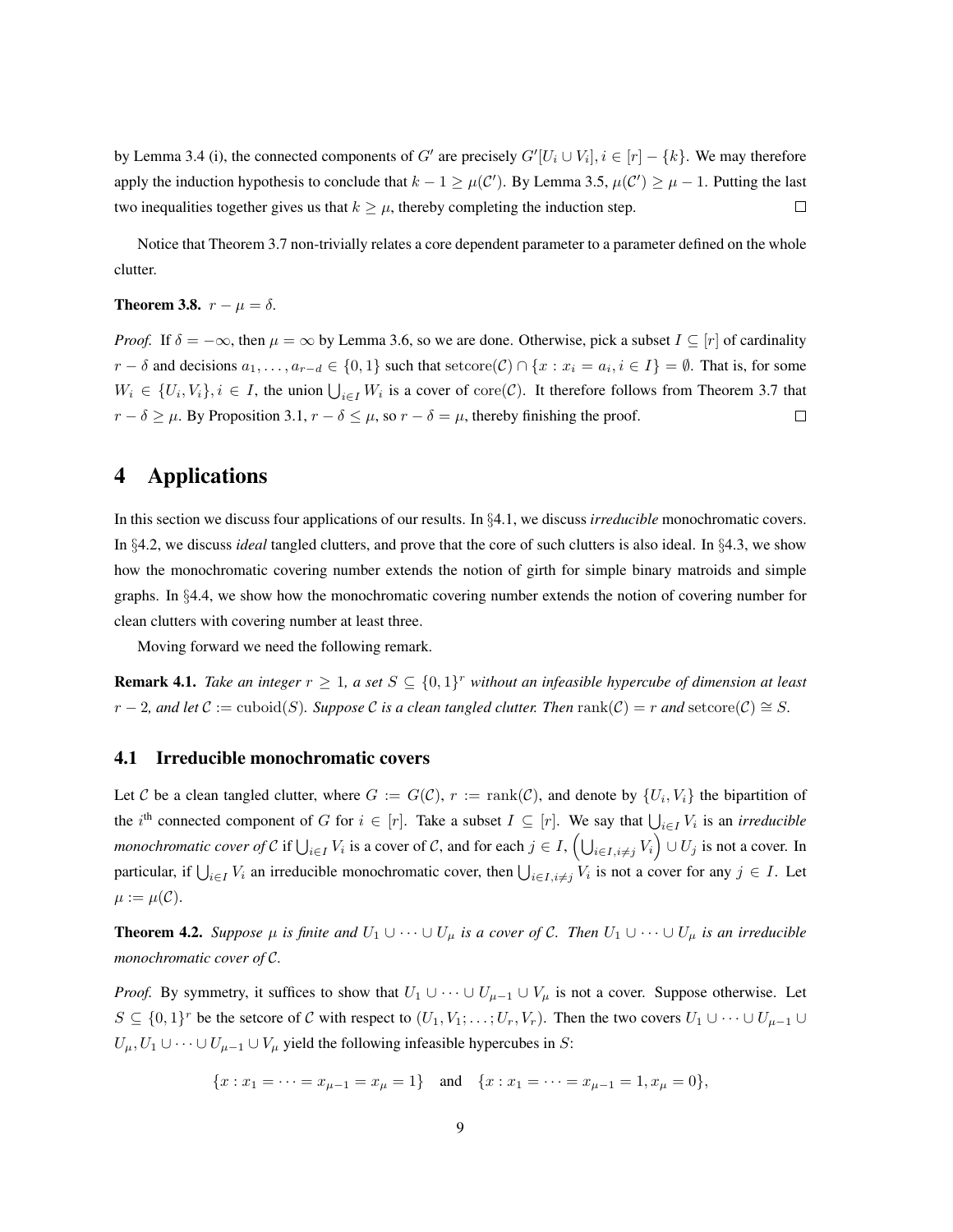by Lemma [3.4](#page-5-2) (i), the connected components of G' are precisely  $G'[U_i \cup V_i], i \in [r] - \{k\}$ . We may therefore apply the induction hypothesis to conclude that  $k - 1 \ge \mu(C')$ . By Lemma [3.5,](#page-6-0)  $\mu(C') \ge \mu - 1$ . Putting the last two inequalities together gives us that  $k \geq \mu$ , thereby completing the induction step.  $\Box$ 

Notice that Theorem [3.7](#page-7-2) non-trivially relates a core dependent parameter to a parameter defined on the whole clutter.

#### <span id="page-8-2"></span>**Theorem 3.8.**  $r - \mu = \delta$ .

*Proof.* If  $\delta = -\infty$ , then  $\mu = \infty$  by Lemma [3.6,](#page-7-1) so we are done. Otherwise, pick a subset  $I \subseteq [r]$  of cardinality  $r - \delta$  and decisions  $a_1, \ldots, a_{r-d} \in \{0, 1\}$  such that setcore $(C) \cap \{x : x_i = a_i, i \in I\} = \emptyset$ . That is, for some  $W_i \in \{U_i, V_i\}, i \in I$ , the union  $\bigcup_{i \in I} W_i$  is a cover of core $(C)$ . It therefore follows from Theorem [3.7](#page-7-2) that  $r - \delta \ge \mu$ . By Proposition [3.1,](#page-4-3)  $r - \delta \le \mu$ , so  $r - \delta = \mu$ , thereby finishing the proof.  $\Box$ 

## <span id="page-8-0"></span>4 Applications

In this section we discuss four applications of our results. In §[4.1,](#page-8-1) we discuss *irreducible* monochromatic covers. In §[4.2,](#page-9-0) we discuss *ideal* tangled clutters, and prove that the core of such clutters is also ideal. In §[4.3,](#page-11-0) we show how the monochromatic covering number extends the notion of girth for simple binary matroids and simple graphs. In §[4.4,](#page-13-0) we show how the monochromatic covering number extends the notion of covering number for clean clutters with covering number at least three.

Moving forward we need the following remark.

<span id="page-8-4"></span>**Remark 4.1.** Take an integer  $r \geq 1$ , a set  $S \subseteq \{0,1\}^r$  without an infeasible hypercube of dimension at least  $r-2$ , and let  $C := \text{cuboid}(S)$ . Suppose C is a clean tangled clutter. Then  $\text{rank}(\mathcal{C}) = r$  and  $\text{setcore}(\mathcal{C}) \cong S$ .

### <span id="page-8-1"></span>4.1 Irreducible monochromatic covers

Let C be a clean tangled clutter, where  $G := G(\mathcal{C}), r := \text{rank}(\mathcal{C})$ , and denote by  $\{U_i, V_i\}$  the bipartition of the i<sup>th</sup> connected component of G for  $i \in [r]$ . Take a subset  $I \subseteq [r]$ . We say that  $\bigcup_{i \in I} V_i$  is an *irreducible monochromatic cover of* C if  $\bigcup_{i\in I}V_i$  is a cover of C, and for each  $j\in I$ ,  $\left(\bigcup_{i\in I,i\neq j}V_i\right)\cup U_j$  is not a cover. In particular, if  $\bigcup_{i\in I}V_i$  an irreducible monochromatic cover, then  $\bigcup_{i\in I, i\neq j}V_i$  is not a cover for any  $j \in I$ . Let  $\mu := \mu(\mathcal{C}).$ 

<span id="page-8-3"></span>**Theorem 4.2.** *Suppose*  $\mu$  *is finite and*  $U_1 \cup \cdots \cup U_{\mu}$  *is a cover of* C. *Then*  $U_1 \cup \cdots \cup U_{\mu}$  *is an irreducible monochromatic cover of* C*.*

*Proof.* By symmetry, it suffices to show that  $U_1 \cup \cdots \cup U_{\mu-1} \cup V_{\mu}$  is not a cover. Suppose otherwise. Let  $S \subseteq \{0,1\}^r$  be the setcore of C with respect to  $(U_1, V_1; \ldots; U_r, V_r)$ . Then the two covers  $U_1 \cup \cdots \cup U_{\mu-1} \cup$  $U_{\mu}$ ,  $U_1 \cup \cdots \cup U_{\mu-1} \cup V_{\mu}$  yield the following infeasible hypercubes in S:

$$
\{x : x_1 = \dots = x_{\mu-1} = x_{\mu} = 1\} \quad \text{and} \quad \{x : x_1 = \dots = x_{\mu-1} = 1, x_{\mu} = 0\},
$$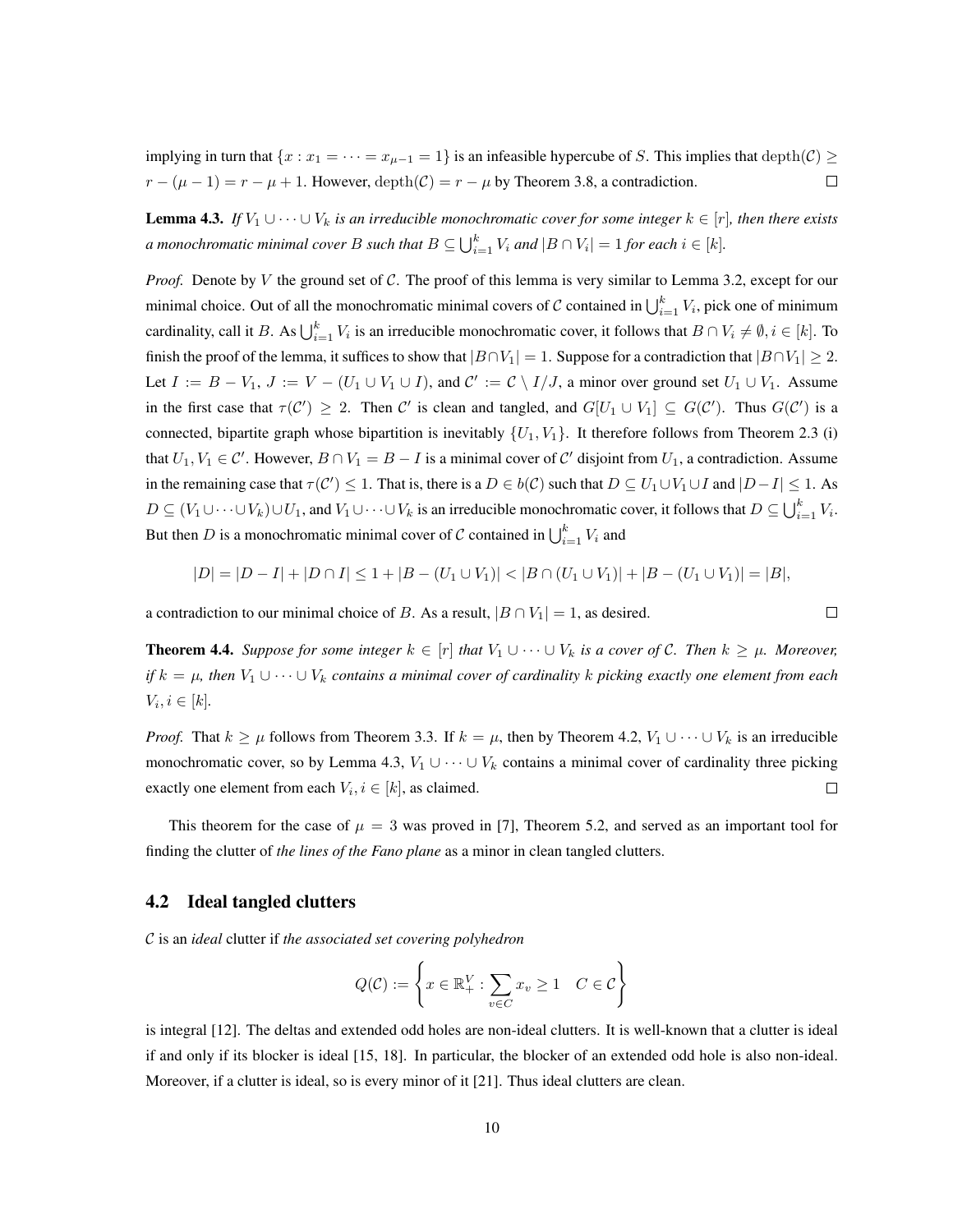implying in turn that  $\{x : x_1 = \cdots = x_{\mu-1} = 1\}$  is an infeasible hypercube of S. This implies that depth $(C) \geq$  $r - (\mu - 1) = r - \mu + 1$ . However, depth $(C) = r - \mu$  by Theorem [3.8,](#page-8-2) a contradiction.  $\Box$ 

<span id="page-9-1"></span>**Lemma 4.3.** *If*  $V_1 \cup \cdots \cup V_k$  *is an irreducible monochromatic cover for some integer*  $k \in [r]$ *, then there exists a* monochromatic minimal cover B such that  $B\subseteq \bigcup_{i=1}^k V_i$  and  $|B\cap V_i|=1$  for each  $i\in [k].$ 

*Proof.* Denote by V the ground set of C. The proof of this lemma is very similar to Lemma [3.2,](#page-4-2) except for our minimal choice. Out of all the monochromatic minimal covers of C contained in  $\bigcup_{i=1}^k V_i$ , pick one of minimum cardinality, call it B. As  $\bigcup_{i=1}^k V_i$  is an irreducible monochromatic cover, it follows that  $B \cap V_i \neq \emptyset$ ,  $i \in [k]$ . To finish the proof of the lemma, it suffices to show that  $|B \cap V_1| = 1$ . Suppose for a contradiction that  $|B \cap V_1| \geq 2$ . Let  $I := B - V_1$ ,  $J := V - (U_1 \cup V_1 \cup I)$ , and  $C' := C \setminus I/J$ , a minor over ground set  $U_1 \cup V_1$ . Assume in the first case that  $\tau(C') \geq 2$ . Then C' is clean and tangled, and  $G[U_1 \cup V_1] \subseteq G(C')$ . Thus  $G(C')$  is a connected, bipartite graph whose bipartition is inevitably  $\{U_1, V_1\}$ . It therefore follows from Theorem [2.3](#page-3-3) (i) that  $U_1, V_1 \in \mathcal{C}'$ . However,  $B \cap V_1 = B - I$  is a minimal cover of  $\mathcal{C}'$  disjoint from  $U_1$ , a contradiction. Assume in the remaining case that  $\tau(C') \leq 1$ . That is, there is a  $D \in b(C)$  such that  $D \subseteq U_1 \cup V_1 \cup I$  and  $|D - I| \leq 1$ . As  $D \subseteq (V_1 \cup \cdots \cup V_k) \cup U_1$ , and  $V_1 \cup \cdots \cup V_k$  is an irreducible monochromatic cover, it follows that  $D \subseteq \bigcup_{i=1}^k V_i$ . But then D is a monochromatic minimal cover of C contained in  $\bigcup_{i=1}^{k} V_i$  and

$$
|D| = |D - I| + |D \cap I| \le 1 + |B - (U_1 \cup V_1)| < |B \cap (U_1 \cup V_1)| + |B - (U_1 \cup V_1)| = |B|,
$$

 $\Box$ 

a contradiction to our minimal choice of B. As a result,  $|B \cap V_1| = 1$ , as desired.

<span id="page-9-2"></span>**Theorem 4.4.** Suppose for some integer  $k \in [r]$  that  $V_1 \cup \cdots \cup V_k$  is a cover of C. Then  $k \geq \mu$ . Moreover, *if*  $k = \mu$ , then  $V_1 \cup \cdots \cup V_k$  contains a minimal cover of cardinality k picking exactly one element from each  $V_i, i \in [k]$ .

*Proof.* That  $k \geq \mu$  follows from Theorem [3.3.](#page-5-1) If  $k = \mu$ , then by Theorem [4.2,](#page-8-3)  $V_1 \cup \cdots \cup V_k$  is an irreducible monochromatic cover, so by Lemma [4.3,](#page-9-1)  $V_1 \cup \cdots \cup V_k$  contains a minimal cover of cardinality three picking  $\Box$ exactly one element from each  $V_i, i \in [k]$ , as claimed.

This theorem for the case of  $\mu = 3$  was proved in [\[7\]](#page-14-6), Theorem 5.2, and served as an important tool for finding the clutter of *the lines of the Fano plane* as a minor in clean tangled clutters.

### <span id="page-9-0"></span>4.2 Ideal tangled clutters

C is an *ideal* clutter if *the associated set covering polyhedron*

$$
Q(\mathcal{C}) := \left\{ x \in \mathbb{R}_+^V : \sum_{v \in C} x_v \ge 1 \quad C \in \mathcal{C} \right\}
$$

is integral [\[12\]](#page-14-11). The deltas and extended odd holes are non-ideal clutters. It is well-known that a clutter is ideal if and only if its blocker is ideal [\[15,](#page-15-3) [18\]](#page-15-4). In particular, the blocker of an extended odd hole is also non-ideal. Moreover, if a clutter is ideal, so is every minor of it [\[21\]](#page-15-0). Thus ideal clutters are clean.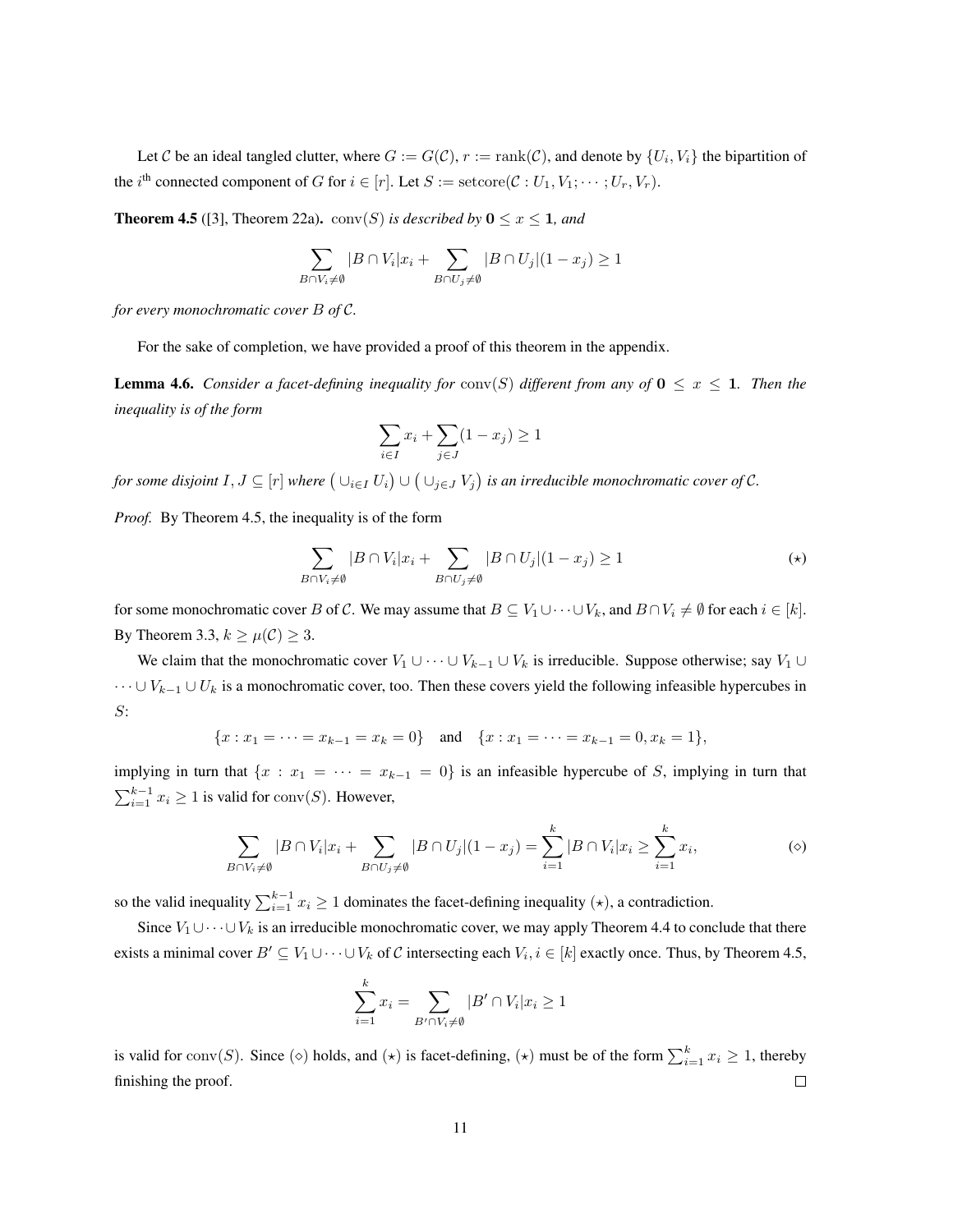Let C be an ideal tangled clutter, where  $G := G(\mathcal{C}), r := \text{rank}(\mathcal{C})$ , and denote by  $\{U_i, V_i\}$  the bipartition of the  $i^{\text{th}}$  connected component of G for  $i \in [r]$ . Let  $S := \text{setcore}(\mathcal{C} : U_1, V_1; \dots; U_r, V_r)$ .

<span id="page-10-0"></span>**Theorem 4.5** ([\[3\]](#page-14-12), Theorem 22a). conv(S) is described by  $0 \le x \le 1$ , and

$$
\sum_{B \cap V_i \neq \emptyset} |B \cap V_i| x_i + \sum_{B \cap U_j \neq \emptyset} |B \cap U_j| (1 - x_j) \geq 1
$$

*for every monochromatic cover* B *of* C*.*

For the sake of completion, we have provided a proof of this theorem in the appendix.

<span id="page-10-1"></span>**Lemma 4.6.** *Consider a facet-defining inequality for*  $conv(S)$  *different from any of*  $0 \le x \le 1$ *. Then the inequality is of the form*

$$
\sum_{i \in I} x_i + \sum_{j \in J} (1 - x_j) \ge 1
$$

for some disjoint  $I, J \subseteq [r]$  where  $(\cup_{i \in I} U_i) \cup (\cup_{j \in J} V_j)$  is an irreducible monochromatic cover of  $\mathcal{C}$ .

*Proof.* By Theorem [4.5,](#page-10-0) the inequality is of the form

$$
\sum_{B \cap V_i \neq \emptyset} |B \cap V_i| x_i + \sum_{B \cap U_j \neq \emptyset} |B \cap U_j| (1 - x_j) \ge 1 \tag{*}
$$

for some monochromatic cover B of C. We may assume that  $B \subseteq V_1 \cup \cdots \cup V_k$ , and  $B \cap V_i \neq \emptyset$  for each  $i \in [k]$ . By Theorem [3.3,](#page-5-1)  $k \geq \mu(\mathcal{C}) \geq 3$ .

We claim that the monochromatic cover  $V_1 \cup \cdots \cup V_{k-1} \cup V_k$  is irreducible. Suppose otherwise; say  $V_1 \cup$  $\cdots \cup V_{k-1} \cup U_k$  is a monochromatic cover, too. Then these covers yield the following infeasible hypercubes in S:

$$
\{x: x_1 = \cdots = x_{k-1} = x_k = 0\} \quad \text{and} \quad \{x: x_1 = \cdots = x_{k-1} = 0, x_k = 1\},
$$

implying in turn that  $\{x : x_1 = \cdots = x_{k-1} = 0\}$  is an infeasible hypercube of S, implying in turn that  $\sum_{i=1}^{k-1} x_i \ge 1$  is valid for conv(S). However,

$$
\sum_{B \cap V_i \neq \emptyset} |B \cap V_i| x_i + \sum_{B \cap U_j \neq \emptyset} |B \cap U_j| (1 - x_j) = \sum_{i=1}^k |B \cap V_i| x_i \geq \sum_{i=1}^k x_i,
$$
 (3)

so the valid inequality  $\sum_{i=1}^{k-1} x_i \ge 1$  dominates the facet-defining inequality  $(\star)$ , a contradiction.

Since  $V_1 \cup \cdots \cup V_k$  is an irreducible monochromatic cover, we may apply Theorem [4.4](#page-9-2) to conclude that there exists a minimal cover  $B' \subseteq V_1 \cup \cdots \cup V_k$  of C intersecting each  $V_i, i \in [k]$  exactly once. Thus, by Theorem [4.5,](#page-10-0)

$$
\sum_{i=1}^{k} x_i = \sum_{B' \cap V_i \neq \emptyset} |B' \cap V_i| x_i \ge 1
$$

is valid for conv(S). Since ( $\diamond$ ) holds, and ( $\star$ ) is facet-defining, ( $\star$ ) must be of the form  $\sum_{i=1}^{k} x_i \geq 1$ , thereby finishing the proof.  $\Box$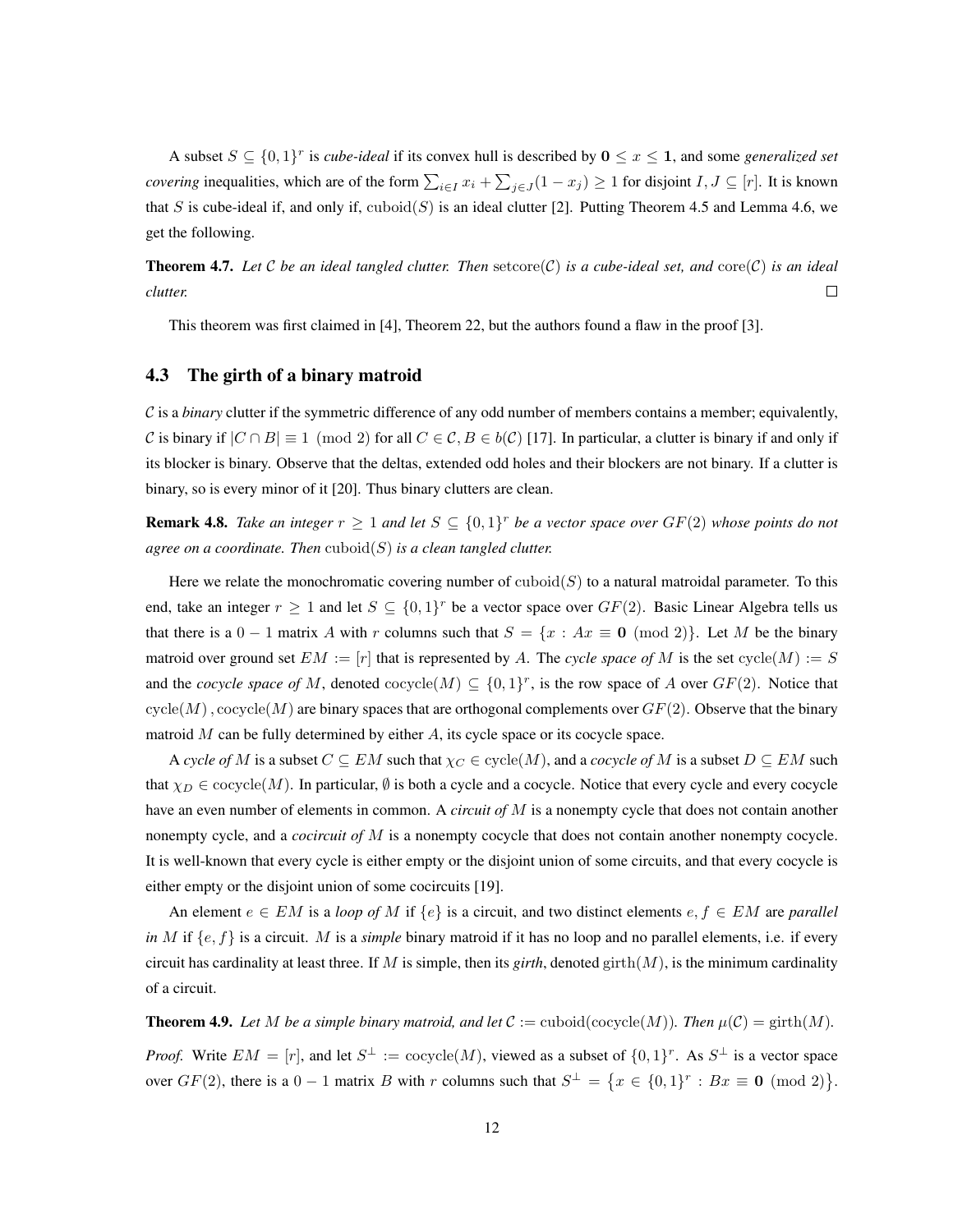A subset  $S \subseteq \{0,1\}^r$  is *cube-ideal* if its convex hull is described by  $0 \le x \le 1$ , and some *generalized set covering* inequalities, which are of the form  $\sum_{i\in I} x_i + \sum_{j\in J} (1 - x_j) \ge 1$  for disjoint  $I, J \subseteq [r]$ . It is known that S is cube-ideal if, and only if,  $\text{cuboid}(S)$  is an ideal clutter [\[2\]](#page-14-10). Putting Theorem [4.5](#page-10-0) and Lemma [4.6,](#page-10-1) we get the following.

**Theorem 4.7.** Let C be an ideal tangled clutter. Then setcore(C) is a cube-ideal set, and core(C) is an ideal *clutter.*  $\Box$ 

This theorem was first claimed in [\[4\]](#page-14-13), Theorem 22, but the authors found a flaw in the proof [\[3\]](#page-14-12).

## <span id="page-11-0"></span>4.3 The girth of a binary matroid

 $C$  is a *binary* clutter if the symmetric difference of any odd number of members contains a member; equivalently, C is binary if  $|C \cap B| \equiv 1 \pmod{2}$  for all  $C \in C$ ,  $B \in b(C)$  [\[17\]](#page-15-5). In particular, a clutter is binary if and only if its blocker is binary. Observe that the deltas, extended odd holes and their blockers are not binary. If a clutter is binary, so is every minor of it [\[20\]](#page-15-2). Thus binary clutters are clean.

<span id="page-11-1"></span>**Remark 4.8.** Take an integer  $r \geq 1$  and let  $S \subseteq \{0,1\}^r$  be a vector space over  $GF(2)$  whose points do not *agree on a coordinate. Then* cuboid(S) *is a clean tangled clutter.*

Here we relate the monochromatic covering number of  $\mathrm{cuboid}(S)$  to a natural matroidal parameter. To this end, take an integer  $r \geq 1$  and let  $S \subseteq \{0,1\}^r$  be a vector space over  $GF(2)$ . Basic Linear Algebra tells us that there is a  $0 - 1$  matrix A with r columns such that  $S = \{x : Ax \equiv 0 \pmod{2}\}$ . Let M be the binary matroid over ground set  $EM := [r]$  that is represented by A. The *cycle space of* M is the set  $cycle(M) := S$ and the *cocycle space of M*, denoted  $\text{cocycle}(M) \subseteq \{0,1\}^r$ , is the row space of A over  $GF(2)$ . Notice that  $cycle(M)$ ,  $cocycle(M)$  are binary spaces that are orthogonal complements over  $GF(2)$ . Observe that the binary matroid  $M$  can be fully determined by either  $A$ , its cycle space or its cocycle space.

A *cycle of* M is a subset  $C \subseteq EM$  such that  $\chi_C \in \text{cycle}(M)$ , and a *cocycle of* M is a subset  $D \subseteq EM$  such that  $\chi_D \in \text{cocycle}(M)$ . In particular,  $\emptyset$  is both a cycle and a cocycle. Notice that every cycle and every cocycle have an even number of elements in common. A *circuit of* M is a nonempty cycle that does not contain another nonempty cycle, and a *cocircuit of* M is a nonempty cocycle that does not contain another nonempty cocycle. It is well-known that every cycle is either empty or the disjoint union of some circuits, and that every cocycle is either empty or the disjoint union of some cocircuits [\[19\]](#page-15-6).

An element  $e \in EM$  is a *loop of* M if  $\{e\}$  is a circuit, and two distinct elements  $e, f \in EM$  are *parallel in* M if  $\{e, f\}$  is a circuit. M is a *simple* binary matroid if it has no loop and no parallel elements, i.e. if every circuit has cardinality at least three. If M is simple, then its *girth*, denoted girth $(M)$ , is the minimum cardinality of a circuit.

<span id="page-11-2"></span>**Theorem 4.9.** Let M be a simple binary matroid, and let  $C := \text{cuboid}(\text{cocycle}(M))$ . Then  $\mu(C) = \text{girth}(M)$ .

*Proof.* Write  $EM = [r]$ , and let  $S^{\perp} := \text{cocycle}(M)$ , viewed as a subset of  $\{0,1\}^r$ . As  $S^{\perp}$  is a vector space over  $GF(2)$ , there is a  $0-1$  matrix B with r columns such that  $S^{\perp} = \{x \in \{0,1\}^r : Bx \equiv \mathbf{0} \pmod{2}\}.$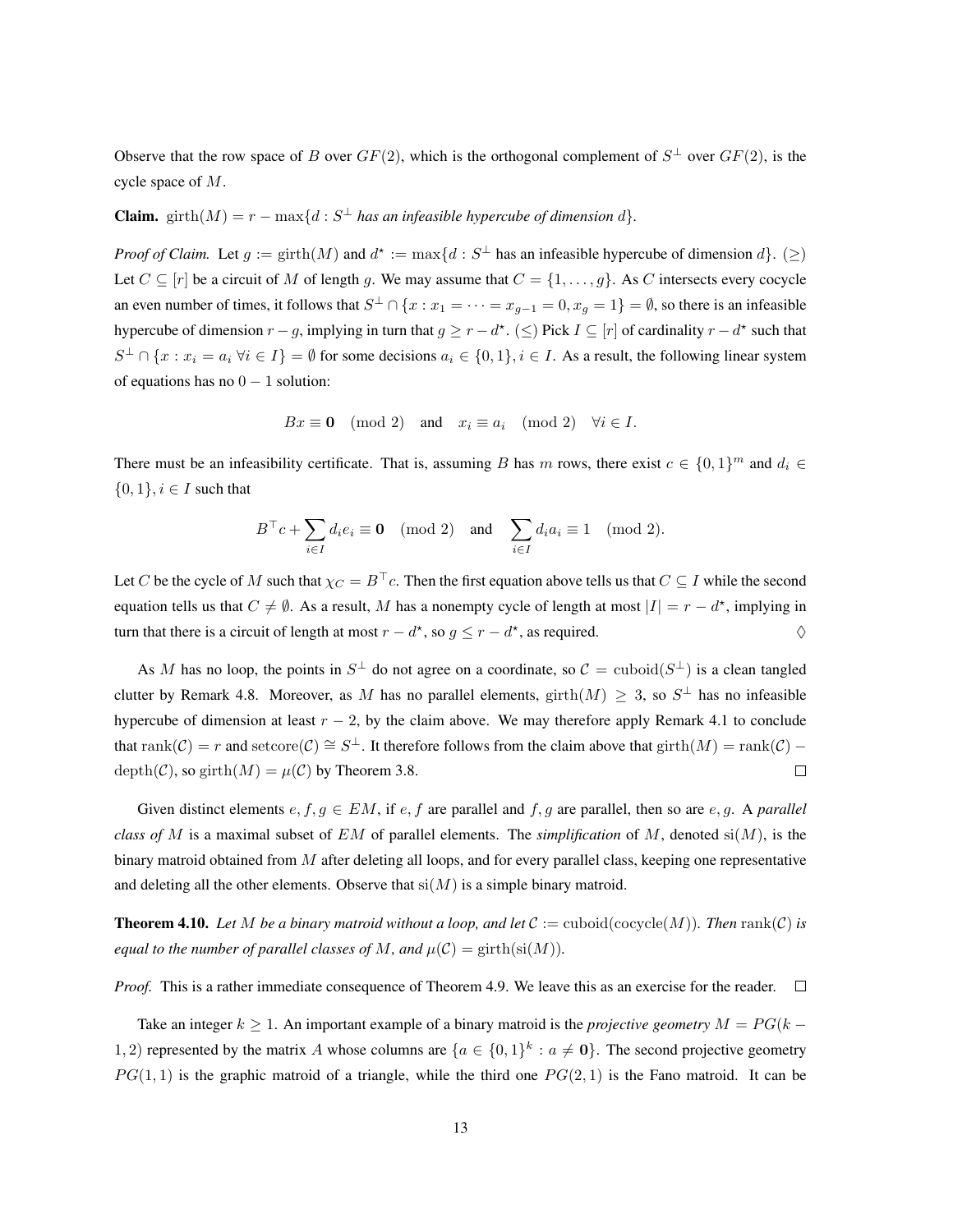Observe that the row space of B over  $GF(2)$ , which is the orthogonal complement of  $S^{\perp}$  over  $GF(2)$ , is the cycle space of M.

**Claim.** girth $(M) = r - \max\{d : S^\perp$  *has an infeasible hypercube of dimension d*}.

*Proof of Claim.* Let  $g := \text{girth}(M)$  and  $d^* := \max\{d : S^{\perp}$  has an infeasible hypercube of dimension  $d\}$ .  $(\geq)$ Let  $C \subseteq [r]$  be a circuit of M of length g. We may assume that  $C = \{1, \ldots, g\}$ . As C intersects every cocycle an even number of times, it follows that  $S^{\perp} \cap \{x : x_1 = \cdots = x_{g-1} = 0, x_g = 1\} = \emptyset$ , so there is an infeasible hypercube of dimension  $r - g$ , implying in turn that  $g \ge r - d^*$ . (≤) Pick  $I \subseteq [r]$  of cardinality  $r - d^*$  such that  $S^{\perp} \cap \{x : x_i = a_i \; \forall i \in I\} = \emptyset$  for some decisions  $a_i \in \{0, 1\}, i \in I$ . As a result, the following linear system of equations has no  $0 - 1$  solution:

$$
Bx \equiv \mathbf{0} \pmod{2} \quad \text{and} \quad x_i \equiv a_i \pmod{2} \quad \forall i \in I.
$$

There must be an infeasibility certificate. That is, assuming B has m rows, there exist  $c \in \{0,1\}^m$  and  $d_i \in$  $\{0,1\}, i \in I$  such that

$$
B^{\top}c + \sum_{i \in I} d_i e_i \equiv \mathbf{0} \pmod{2} \quad \text{and} \quad \sum_{i \in I} d_i a_i \equiv 1 \pmod{2}.
$$

Let C be the cycle of M such that  $\chi_C = B^\top c$ . Then the first equation above tells us that  $C \subseteq I$  while the second equation tells us that  $C \neq \emptyset$ . As a result, M has a nonempty cycle of length at most  $|I| = r - d^*$ , implying in turn that there is a circuit of length at most  $r - d^*$ , so  $g \le r - d^*$ , as required.

As M has no loop, the points in  $S^{\perp}$  do not agree on a coordinate, so  $\mathcal{C} = \text{cuboid}(S^{\perp})$  is a clean tangled clutter by Remark [4.8.](#page-11-1) Moreover, as M has no parallel elements,  $girth(M) \geq 3$ , so  $S^{\perp}$  has no infeasible hypercube of dimension at least  $r - 2$ , by the claim above. We may therefore apply Remark [4.1](#page-8-4) to conclude that  $rank(\mathcal{C}) = r$  and  $setcore(\mathcal{C}) \cong S^{\perp}$ . It therefore follows from the claim above that  $girth(M) = rank(\mathcal{C})$  $depth(\mathcal{C})$ , so girth $(M) = \mu(\mathcal{C})$  by Theorem [3.8.](#page-8-2)  $\Box$ 

Given distinct elements  $e, f, g \in EM$ , if  $e, f$  are parallel and  $f, g$  are parallel, then so are  $e, g$ . A *parallel class of* M is a maximal subset of EM of parallel elements. The *simplification* of M, denoted si(M), is the binary matroid obtained from  $M$  after deleting all loops, and for every parallel class, keeping one representative and deleting all the other elements. Observe that  $si(M)$  is a simple binary matroid.

**Theorem 4.10.** Let M be a binary matroid without a loop, and let  $C := \text{cuboid}(\text{cocycle}(M))$ . Then  $\text{rank}(C)$  is *equal to the number of parallel classes of* M, and  $\mu(\mathcal{C}) = \text{girth} (\text{si}(M))$ .

*Proof.* This is a rather immediate consequence of Theorem [4.9.](#page-11-2) We leave this as an exercise for the reader.  $\Box$ 

Take an integer  $k \geq 1$ . An important example of a binary matroid is the *projective geometry*  $M = PG(k - 1)$ 1, 2) represented by the matrix A whose columns are  $\{a \in \{0,1\}^k : a \neq 0\}$ . The second projective geometry  $PG(1, 1)$  is the graphic matroid of a triangle, while the third one  $PG(2, 1)$  is the Fano matroid. It can be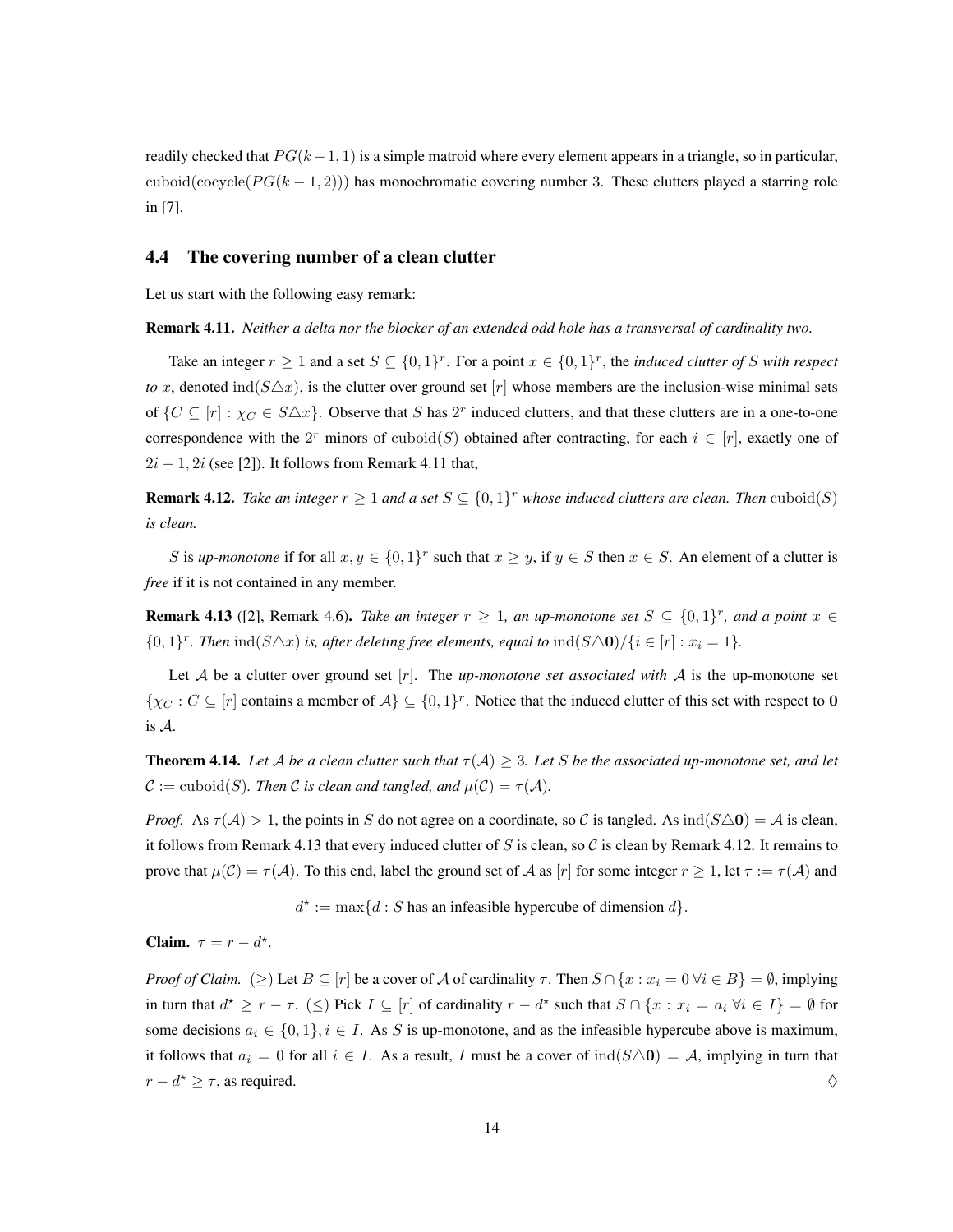readily checked that  $PG(k-1, 1)$  is a simple matroid where every element appears in a triangle, so in particular, cuboid(cocycle( $PG(k-1, 2)$ )) has monochromatic covering number 3. These clutters played a starring role in [\[7\]](#page-14-6).

### <span id="page-13-0"></span>4.4 The covering number of a clean clutter

<span id="page-13-1"></span>Let us start with the following easy remark:

Remark 4.11. *Neither a delta nor the blocker of an extended odd hole has a transversal of cardinality two.*

Take an integer  $r \geq 1$  and a set  $S \subseteq \{0,1\}^r$ . For a point  $x \in \{0,1\}^r$ , the *induced clutter of* S *with respect to* x, denoted ind( $S\Delta x$ ), is the clutter over ground set  $[r]$  whose members are the inclusion-wise minimal sets of  $\{C \subseteq [r] : \chi_C \in S \triangle x\}$ . Observe that S has 2<sup>r</sup> induced clutters, and that these clutters are in a one-to-one correspondence with the  $2^r$  minors of cuboid(S) obtained after contracting, for each  $i \in [r]$ , exactly one of  $2i - 1$ ,  $2i$  (see [\[2\]](#page-14-10)). It follows from Remark [4.11](#page-13-1) that,

<span id="page-13-3"></span>**Remark 4.12.** Take an integer  $r \geq 1$  and a set  $S \subseteq \{0,1\}^r$  whose induced clutters are clean. Then  $\text{cuboid}(S)$ *is clean.*

S is *up-monotone* if for all  $x, y \in \{0, 1\}^r$  such that  $x \geq y$ , if  $y \in S$  then  $x \in S$ . An element of a clutter is *free* if it is not contained in any member.

<span id="page-13-2"></span>**Remark 4.13** ([\[2\]](#page-14-10), Remark 4.6). *Take an integer*  $r \geq 1$ , an up-monotone set  $S \subseteq \{0,1\}^r$ , and a point  $x \in$  $\{0,1\}^r$ . Then  $\text{ind}(S\triangle x)$  *is, after deleting free elements, equal to*  $\text{ind}(S\triangle 0)/\{i \in [r]: x_i = 1\}$ *.* 

Let A be a clutter over ground set  $[r]$ . The *up-monotone set associated with* A is the up-monotone set  $\{\chi_C : C \subseteq [r]$  contains a member of  $\mathcal{A}\} \subseteq \{0,1\}^r$ . Notice that the induced clutter of this set with respect to 0 is A.

**Theorem 4.14.** Let A be a clean clutter such that  $\tau(A) \geq 3$ . Let S be the associated up-monotone set, and let  $C := \text{cuboid}(S)$ *. Then* C *is clean and tangled, and*  $\mu(C) = \tau(A)$ *.* 

*Proof.* As  $\tau(A) > 1$ , the points in S do not agree on a coordinate, so C is tangled. As  $\text{ind}(S \triangle 0) = A$  is clean, it follows from Remark [4.13](#page-13-2) that every induced clutter of S is clean, so C is clean by Remark [4.12.](#page-13-3) It remains to prove that  $\mu(C) = \tau(A)$ . To this end, label the ground set of A as [r] for some integer  $r \ge 1$ , let  $\tau := \tau(A)$  and

 $d^* := \max\{d : S$  has an infeasible hypercube of dimension  $d\}$ .

Claim.  $\tau = r - d^*$ .

*Proof of Claim.* ( $\geq$ ) Let  $B \subseteq [r]$  be a cover of A of cardinality  $\tau$ . Then  $S \cap \{x : x_i = 0 \forall i \in B\} = \emptyset$ , implying in turn that  $d^* \geq r - \tau$ . ( $\leq$ ) Pick  $I \subseteq [r]$  of cardinality  $r - d^*$  such that  $S \cap \{x : x_i = a_i \; \forall i \in I\} = \emptyset$  for some decisions  $a_i \in \{0,1\}, i \in I$ . As S is up-monotone, and as the infeasible hypercube above is maximum, it follows that  $a_i = 0$  for all  $i \in I$ . As a result, I must be a cover of  $\text{ind}(S \triangle 0) = A$ , implying in turn that  $r - d^* \geq \tau$ , as required.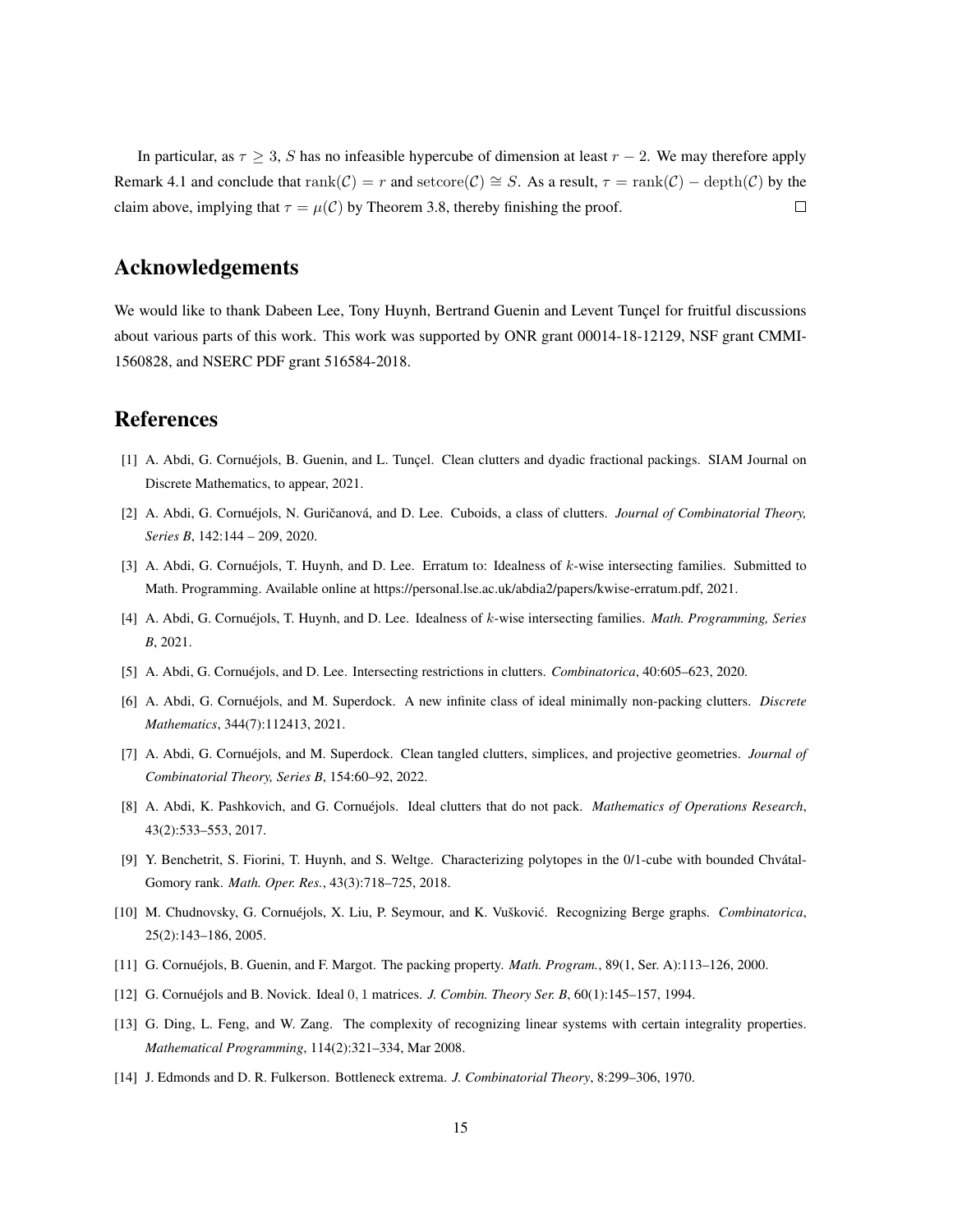In particular, as  $\tau \geq 3$ , S has no infeasible hypercube of dimension at least  $r - 2$ . We may therefore apply Remark [4.1](#page-8-4) and conclude that  $rank(\mathcal{C}) = r$  and  $setcore(\mathcal{C}) \cong S$ . As a result,  $\tau = rank(\mathcal{C}) - depth(\mathcal{C})$  by the claim above, implying that  $\tau = \mu(\mathcal{C})$  by Theorem [3.8,](#page-8-2) thereby finishing the proof.  $\Box$ 

## Acknowledgements

We would like to thank Dabeen Lee, Tony Huynh, Bertrand Guenin and Levent Tuncel for fruitful discussions about various parts of this work. This work was supported by ONR grant 00014-18-12129, NSF grant CMMI-1560828, and NSERC PDF grant 516584-2018.

## References

- <span id="page-14-4"></span>[1] A. Abdi, G. Cornuéjols, B. Guenin, and L. Tuncel. Clean clutters and dyadic fractional packings. SIAM Journal on Discrete Mathematics, to appear, 2021.
- <span id="page-14-10"></span>[2] A. Abdi, G. Cornuéjols, N. Guričanová, and D. Lee. Cuboids, a class of clutters. *Journal of Combinatorial Theory, Series B*, 142:144 – 209, 2020.
- <span id="page-14-12"></span>[3] A. Abdi, G. Cornuéjols, T. Huynh, and D. Lee. Erratum to: Idealness of  $k$ -wise intersecting families. Submitted to Math. Programming. Available online at https://personal.lse.ac.uk/abdia2/papers/kwise-erratum.pdf, 2021.
- <span id="page-14-13"></span>[4] A. Abdi, G. Cornuejols, T. Huynh, and D. Lee. Idealness of ´ k-wise intersecting families. *Math. Programming, Series B*, 2021.
- <span id="page-14-2"></span>[5] A. Abdi, G. Cornuejols, and D. Lee. Intersecting restrictions in clutters. *Combinatorica*, 40:605–623, 2020.
- <span id="page-14-5"></span>[6] A. Abdi, G. Cornuejols, and M. Superdock. A new infinite class of ideal minimally non-packing clutters. ´ *Discrete Mathematics*, 344(7):112413, 2021.
- <span id="page-14-6"></span>[7] A. Abdi, G. Cornuejols, and M. Superdock. Clean tangled clutters, simplices, and projective geometries. ´ *Journal of Combinatorial Theory, Series B*, 154:60–92, 2022.
- <span id="page-14-9"></span>[8] A. Abdi, K. Pashkovich, and G. Cornuejols. Ideal clutters that do not pack. ´ *Mathematics of Operations Research*, 43(2):533–553, 2017.
- <span id="page-14-7"></span>[9] Y. Benchetrit, S. Fiorini, T. Huynh, and S. Weltge. Characterizing polytopes in the 0/1-cube with bounded Chvátal-Gomory rank. *Math. Oper. Res.*, 43(3):718–725, 2018.
- <span id="page-14-1"></span>[10] M. Chudnovsky, G. Cornuéjols, X. Liu, P. Seymour, and K. Vušković. Recognizing Berge graphs. *Combinatorica*, 25(2):143–186, 2005.
- <span id="page-14-3"></span>[11] G. Cornuejols, B. Guenin, and F. Margot. The packing property. ´ *Math. Program.*, 89(1, Ser. A):113–126, 2000.
- <span id="page-14-11"></span>[12] G. Cornuéjols and B. Novick. Ideal 0, 1 matrices. *J. Combin. Theory Ser. B*, 60(1):145-157, 1994.
- <span id="page-14-0"></span>[13] G. Ding, L. Feng, and W. Zang. The complexity of recognizing linear systems with certain integrality properties. *Mathematical Programming*, 114(2):321–334, Mar 2008.
- <span id="page-14-8"></span>[14] J. Edmonds and D. R. Fulkerson. Bottleneck extrema. *J. Combinatorial Theory*, 8:299–306, 1970.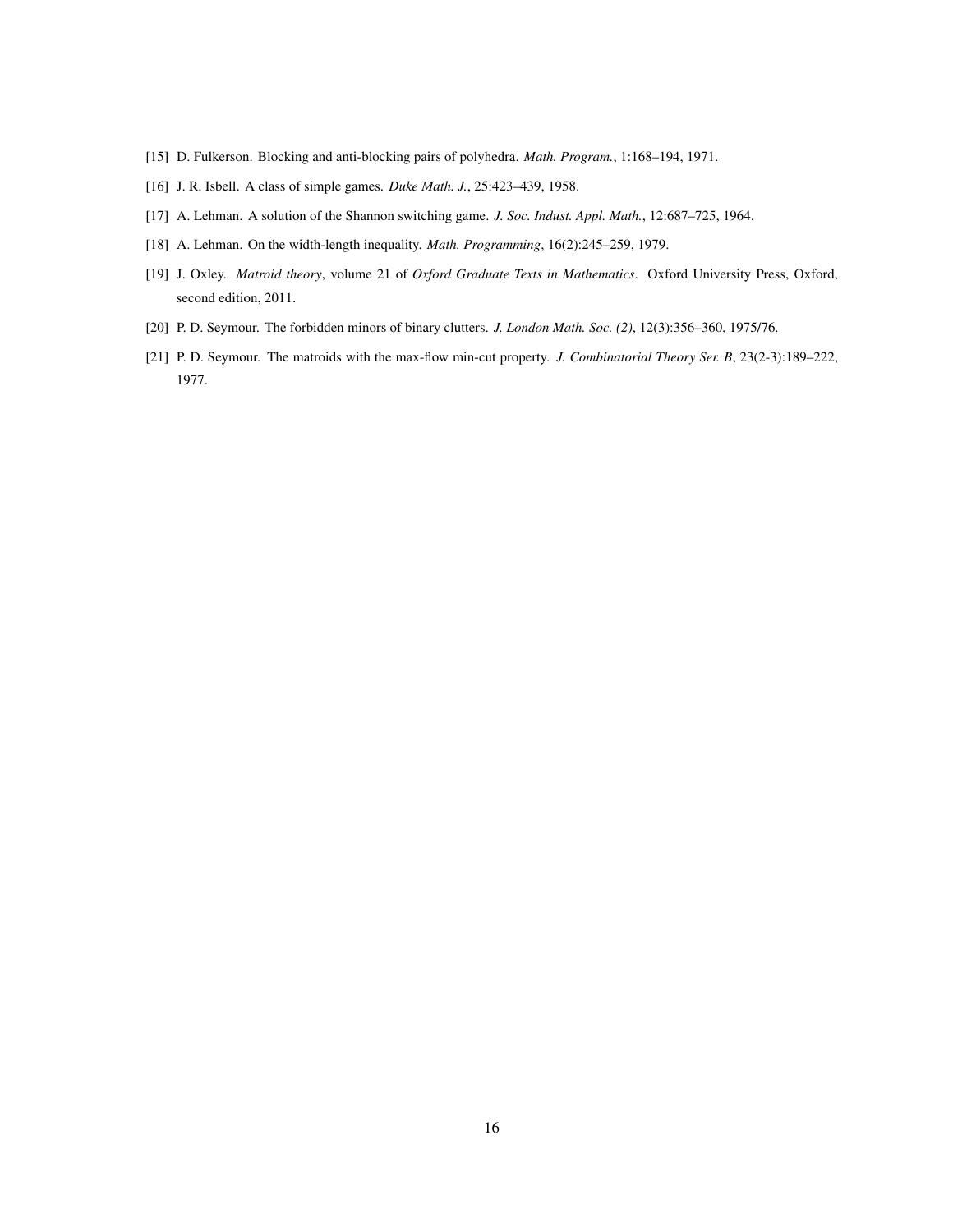- <span id="page-15-3"></span>[15] D. Fulkerson. Blocking and anti-blocking pairs of polyhedra. *Math. Program.*, 1:168–194, 1971.
- <span id="page-15-1"></span>[16] J. R. Isbell. A class of simple games. *Duke Math. J.*, 25:423–439, 1958.
- <span id="page-15-5"></span>[17] A. Lehman. A solution of the Shannon switching game. *J. Soc. Indust. Appl. Math.*, 12:687–725, 1964.
- <span id="page-15-4"></span>[18] A. Lehman. On the width-length inequality. *Math. Programming*, 16(2):245–259, 1979.
- <span id="page-15-6"></span>[19] J. Oxley. *Matroid theory*, volume 21 of *Oxford Graduate Texts in Mathematics*. Oxford University Press, Oxford, second edition, 2011.
- <span id="page-15-2"></span>[20] P. D. Seymour. The forbidden minors of binary clutters. *J. London Math. Soc. (2)*, 12(3):356–360, 1975/76.
- <span id="page-15-0"></span>[21] P. D. Seymour. The matroids with the max-flow min-cut property. *J. Combinatorial Theory Ser. B*, 23(2-3):189–222, 1977.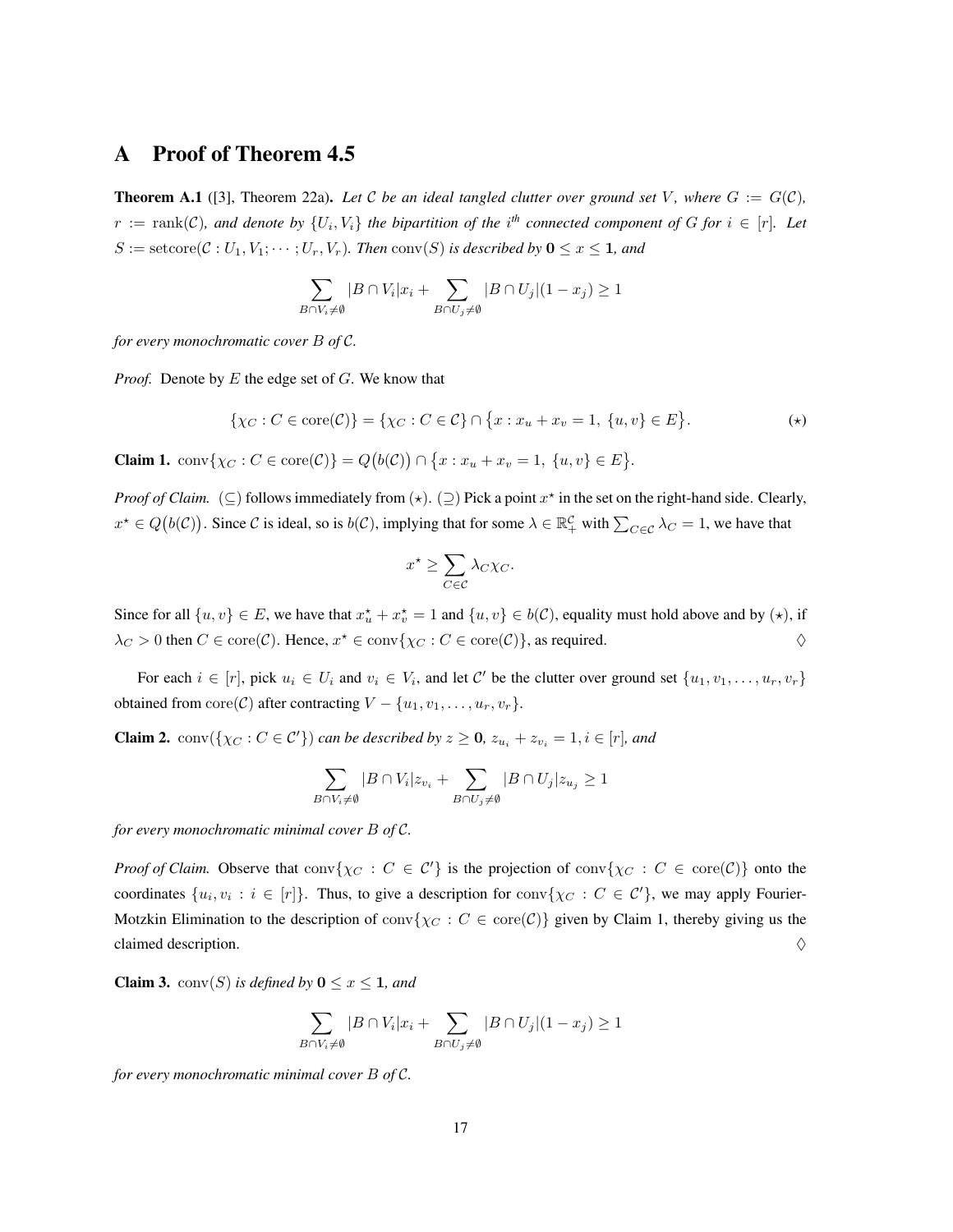## A Proof of Theorem [4.5](#page-10-0)

**Theorem A.1** ([\[3\]](#page-14-12), Theorem 22a). Let C be an ideal tangled clutter over ground set V, where  $G := G(\mathcal{C})$ ,  $r := \text{rank}(\mathcal{C})$ , and denote by  $\{U_i, V_i\}$  the bipartition of the i<sup>th</sup> connected component of G for  $i \in [r]$ . Let  $S := \text{setcore}(\mathcal{C} : U_1, V_1; \cdots; U_r, V_r)$ *. Then*  $\text{conv}(S)$  *is described by*  $0 \le x \le 1$ *, and* 

$$
\sum_{B \cap V_i \neq \emptyset} |B \cap V_i| x_i + \sum_{B \cap U_j \neq \emptyset} |B \cap U_j| (1 - x_j) \geq 1
$$

*for every monochromatic cover* B *of* C*.*

*Proof.* Denote by E the edge set of G. We know that

$$
\{\chi_C : C \in \text{core}(\mathcal{C})\} = \{\chi_C : C \in \mathcal{C}\} \cap \{x : x_u + x_v = 1, \{u, v\} \in E\}.
$$
 (\*)

**Claim 1.**  $\text{conv}\{\chi_C : C \in \text{core}(\mathcal{C})\} = Q(b(\mathcal{C})) \cap \{x : x_u + x_v = 1, \{u, v\} \in E\}.$ 

*Proof of Claim.* ( $\subseteq$ ) follows immediately from  $(\star)$ .  $(\supseteq)$  Pick a point  $x^*$  in the set on the right-hand side. Clearly,  $x^* \in Q(b(\mathcal{C}))$ . Since C is ideal, so is  $b(\mathcal{C})$ , implying that for some  $\lambda \in \mathbb{R}_+^{\mathcal{C}}$  with  $\sum_{C \in \mathcal{C}} \lambda_C = 1$ , we have that

$$
x^* \ge \sum_{C \in \mathcal{C}} \lambda_C \chi_C.
$$

Since for all  $\{u, v\} \in E$ , we have that  $x_u^* + x_v^* = 1$  and  $\{u, v\} \in b(C)$ , equality must hold above and by  $(\star)$ , if  $\lambda_C > 0$  then  $C \in \text{core}(\mathcal{C})$ . Hence,  $x^* \in \text{conv}\{\chi_C : C \in \text{core}(\mathcal{C})\}$ , as required.

For each  $i \in [r]$ , pick  $u_i \in U_i$  and  $v_i \in V_i$ , and let C' be the clutter over ground set  $\{u_1, v_1, \ldots, u_r, v_r\}$ obtained from  $\text{core}(\mathcal{C})$  after contracting  $V - \{u_1, v_1, \ldots, u_r, v_r\}.$ 

**Claim 2.**  $conv({\chi_C : C \in C'})$  *can be described by*  $z \ge 0$ ,  $z_{u_i} + z_{v_i} = 1, i \in [r]$ *, and* 

$$
\sum_{B \cap V_i \neq \emptyset} |B \cap V_i| z_{v_i} + \sum_{B \cap U_j \neq \emptyset} |B \cap U_j| z_{u_j} \geq 1
$$

*for every monochromatic minimal cover* B *of* C*.*

*Proof of Claim.* Observe that  $conv\{\chi_C : C \in C'\}$  is the projection of  $conv\{\chi_C : C \in core(C)\}$  onto the coordinates  $\{u_i, v_i : i \in [r]\}\$ . Thus, to give a description for  $conv\{\chi_C : C \in C'\}$ , we may apply Fourier-Motzkin Elimination to the description of  $\text{conv}\{\chi_C : C \in \text{core}(\mathcal{C})\}$  given by Claim 1, thereby giving us the claimed description.  $\Diamond$ 

**Claim 3.** conv $(S)$  *is defined by*  $0 \le x \le 1$ *, and* 

$$
\sum_{B \cap V_i \neq \emptyset} |B \cap V_i| x_i + \sum_{B \cap U_j \neq \emptyset} |B \cap U_j| (1 - x_j) \geq 1
$$

*for every monochromatic minimal cover* B *of* C*.*